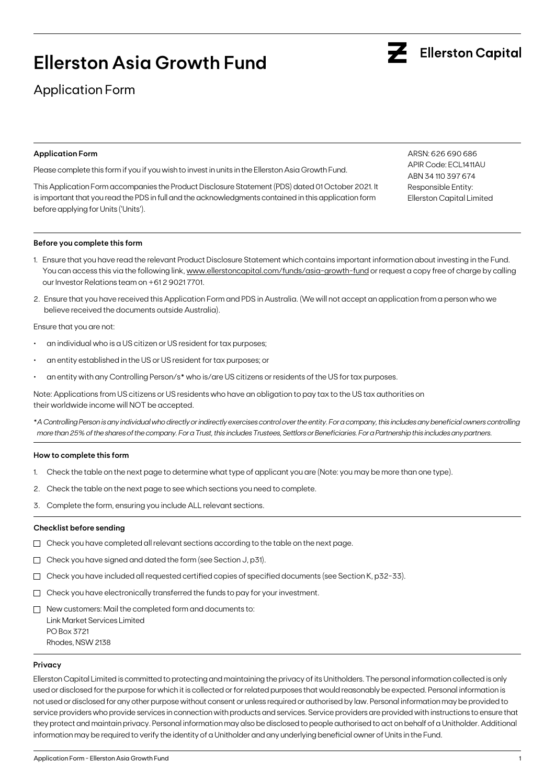# **Ellerston Asia Growth Fund**

# Application Form

# **Application Form**

Please complete this form if you if you wish to invest in units in the Ellerston Asia Growth Fund.

This Application Form accompanies the Product Disclosure Statement (PDS) dated 01 October 2021. It is important that you read the PDS in full and the acknowledgments contained in this application form before applying for Units ('Units').

## ARSN: 626 690 686 APIR Code: ECL1411AU ABN 34 110 397 674 Responsible Entity: Ellerston Capital Limited

### **Before you complete this form**

- 1. Ensure that you have read the relevant Product Disclosure Statement which contains important information about investing in the Fund. You can access this via the following link, [www.ellerstoncapital.com/funds/asia-growth-fund](http://www.ellerstoncapital.com/funds/asia-growth-fund) or request a copy free of charge by calling our Investor Relations team on +61 2 9021 7701.
- 2. Ensure that you have received this Application Form and PDS in Australia. (We will not accept an application from a person who we believe received the documents outside Australia).

Ensure that you are not:

- an individual who is a US citizen or US resident for tax purposes;
- an entity established in the US or US resident for tax purposes; or
- an entity with any Controlling Person/s\* who is/are US citizens or residents of the US for tax purposes.

Note: Applications from US citizens or US residents who have an obligation to pay tax to the US tax authorities on their worldwide income will NOT be accepted.

\**A Controlling Person is any individual who directly or indirectly exercises control over the entity. For a company, this includes any beneficial owners controlling more than 25% of the shares of the company. For a Trust, this includes Trustees, Settlors or Beneficiaries. For a Partnership this includes any partners.*

#### **How to complete this form**

- 1. Check the table on the next page to determine what type of applicant you are (Note: you may be more than one type).
- 2. Check the table on the next page to see which sections you need to complete.
- 3. Complete the form, ensuring you include ALL relevant sections.

#### **Checklist before sending**

- $\Box$  Check you have completed all relevant sections according to the table on the next page.
- $\Box$  Check you have signed and dated the form (see Section J, p31).
- $\Box$  Check you have included all requested certified copies of specified documents (see Section K, p32-33).
- $\Box$  Check you have electronically transferred the funds to pay for your investment.
- $\Box$  New customers: Mail the completed form and documents to: Link Market Services Limited PO Box 3721 Rhodes, NSW 2138

#### **Privacy**

Ellerston Capital Limited is committed to protecting and maintaining the privacy of its Unitholders. The personal information collected is only used or disclosed for the purpose for which it is collected or for related purposes that would reasonably be expected. Personal information is not used or disclosed for any other purpose without consent or unless required or authorised by law. Personal information may be provided to service providers who provide services in connection with products and services. Service providers are provided with instructions to ensure that they protect and maintain privacy. Personal information may also be disclosed to people authorised to act on behalf of a Unitholder. Additional information may be required to verify the identity of a Unitholder and any underlying beneficial owner of Units in the Fund.

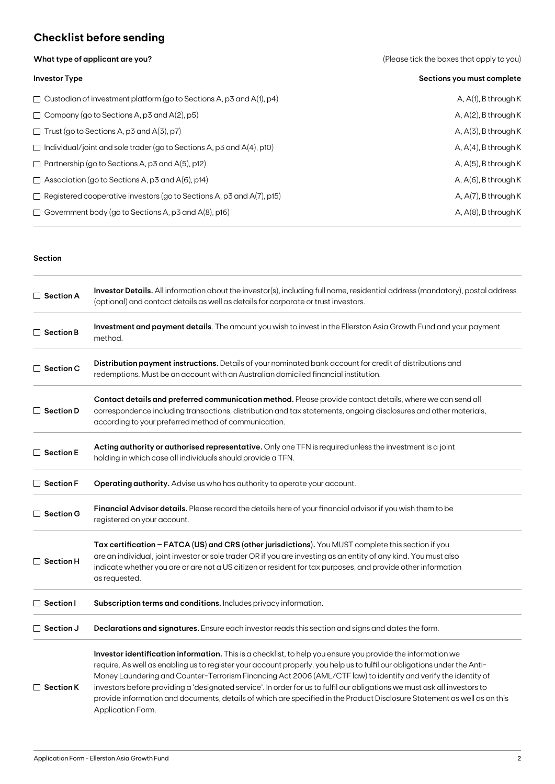# **Checklist before sending**

**What type of applicant are you?** 

|  |  | (Please tick the boxes that apply to you) |  |  |  |
|--|--|-------------------------------------------|--|--|--|
|--|--|-------------------------------------------|--|--|--|

| <b>Investor Type</b>                                                         | Sections you must complete |
|------------------------------------------------------------------------------|----------------------------|
| $\Box$ Custodian of investment platform (go to Sections A, p3 and A(1), p4)  | A, $A(1)$ , B through K    |
| $\Box$ Company (go to Sections A, p3 and A(2), p5)                           | A, $A(2)$ , B through K    |
| $\Box$ Trust (go to Sections A, p3 and A(3), p7)                             | $A, A(3)$ , B through K    |
| $\Box$ Individual/joint and sole trader (go to Sections A, p3 and A(4), p10) | A, $A(4)$ , B through K    |
| $\Box$ Partnership (go to Sections A, p3 and A(5), p12)                      | $A, A(5)$ , B through K    |
| $\Box$ Association (go to Sections A, p3 and A(6), p14)                      | A, $A(6)$ , B through K    |
| $\Box$ Registered cooperative investors (go to Sections A, p3 and A(7), p15) | A, $A(7)$ , B through K    |
| $\Box$ Government body (go to Sections A, p3 and A(8), p16)                  | A, $A(8)$ , B through K    |

## **Section**

| $\Box$ Section A | Investor Details. All information about the investor(s), including full name, residential address (mandatory), postal address<br>(optional) and contact details as well as details for corporate or trust investors.                                                                                                                                                                                                                                                                                                                                                                                                                    |
|------------------|-----------------------------------------------------------------------------------------------------------------------------------------------------------------------------------------------------------------------------------------------------------------------------------------------------------------------------------------------------------------------------------------------------------------------------------------------------------------------------------------------------------------------------------------------------------------------------------------------------------------------------------------|
| $\Box$ Section B | Investment and payment details. The amount you wish to invest in the Ellerston Asia Growth Fund and your payment<br>method.                                                                                                                                                                                                                                                                                                                                                                                                                                                                                                             |
| $\Box$ Section C | Distribution payment instructions. Details of your nominated bank account for credit of distributions and<br>redemptions. Must be an account with an Australian domiciled financial institution.                                                                                                                                                                                                                                                                                                                                                                                                                                        |
| $\Box$ Section D | Contact details and preferred communication method. Please provide contact details, where we can send all<br>correspondence including transactions, distribution and tax statements, ongoing disclosures and other materials,<br>according to your preferred method of communication.                                                                                                                                                                                                                                                                                                                                                   |
| $\Box$ Section E | Acting authority or authorised representative. Only one TFN is required unless the investment is a joint<br>holding in which case all individuals should provide a TFN.                                                                                                                                                                                                                                                                                                                                                                                                                                                                 |
| $\Box$ Section F | Operating authority. Advise us who has authority to operate your account.                                                                                                                                                                                                                                                                                                                                                                                                                                                                                                                                                               |
| $\Box$ Section G | Financial Advisor details. Please record the details here of your financial advisor if you wish them to be<br>registered on your account.                                                                                                                                                                                                                                                                                                                                                                                                                                                                                               |
| $\Box$ Section H | Tax certification - FATCA (US) and CRS (other jurisdictions). You MUST complete this section if you<br>are an individual, joint investor or sole trader OR if you are investing as an entity of any kind. You must also<br>indicate whether you are or are not a US citizen or resident for tax purposes, and provide other information<br>as requested.                                                                                                                                                                                                                                                                                |
| $\Box$ Section I | Subscription terms and conditions. Includes privacy information.                                                                                                                                                                                                                                                                                                                                                                                                                                                                                                                                                                        |
| $\Box$ Section J | Declarations and signatures. Ensure each investor reads this section and signs and dates the form.                                                                                                                                                                                                                                                                                                                                                                                                                                                                                                                                      |
| $\Box$ Section K | Investor identification information. This is a checklist, to help you ensure you provide the information we<br>require. As well as enabling us to register your account properly, you help us to fulfil our obligations under the Anti-<br>Money Laundering and Counter-Terrorism Financing Act 2006 (AML/CTF law) to identify and verify the identity of<br>investors before providing a 'designated service'. In order for us to fulfil our obligations we must ask all investors to<br>provide information and documents, details of which are specified in the Product Disclosure Statement as well as on this<br>Application Form. |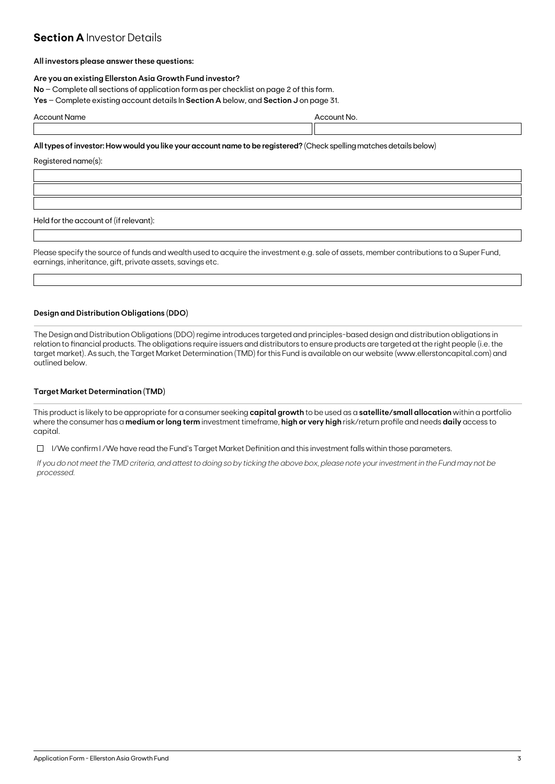# **Section A Investor Details**

## **All investors please answer these questions:**

## **Are you an existing Ellerston Asia Growth Fund investor?**

**No** – Complete all sections of application form as per checklist on page 2 of this form.

**Yes** – Complete existing account details In **Section A** below, and **Section J** on page 31.

| Accc | . |  |
|------|---|--|
|      |   |  |

## **All types of investor: How would you like your account name to be registered?** (Check spelling matches details below)

Registered name(s):

Held for the account of (if relevant):

Please specify the source of funds and wealth used to acquire the investment e.g. sale of assets, member contributions to a Super Fund, earnings, inheritance, gift, private assets, savings etc.

## **Design and Distribution Obligations (DDO)**

The Design and Distribution Obligations (DDO) regime introduces targeted and principles-based design and distribution obligations in relation to financial products. The obligations require issuers and distributors to ensure products are targeted at the right people (i.e. the target market). As such, the Target Market Determination (TMD) for this Fund is available on our website (www.ellerstoncapital.com) and outlined below.

## **Target Market Determination (TMD)**

This product is likely to be appropriate for a consumer seeking **capital growth** to be used as a **satellite/small allocation** within a portfolio where the consumer has a **medium or long term** investment timeframe, **high or very high** risk/return profile and needs **daily** access to capital.

 $\Box$  I/We confirm I/We have read the Fund's Target Market Definition and this investment falls within those parameters.

*If you do not meet the TMD criteria, and attest to doing so by ticking the above box, please note your investment in the Fund may not be processed.*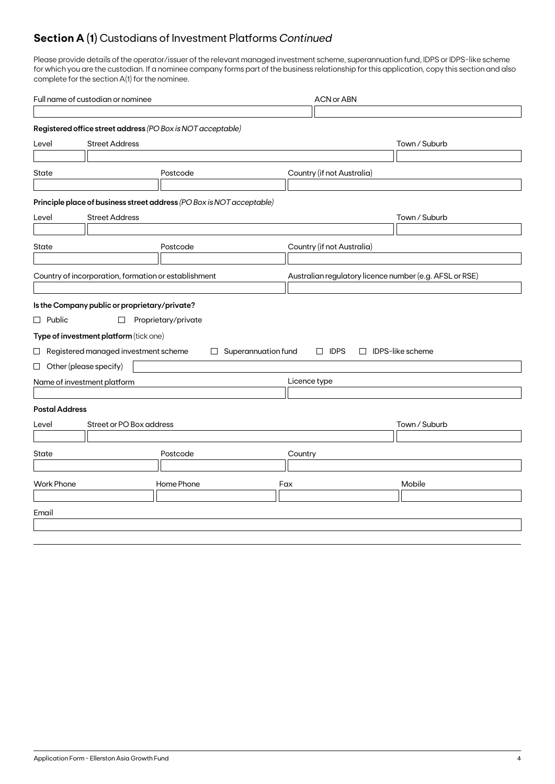# **Section A (1)** Custodians of Investment Platforms *Continued*

Please provide details of the operator/issuer of the relevant managed investment scheme, superannuation fund, IDPS or IDPS-like scheme for which you are the custodian. If a nominee company forms part of the business relationship for this application, copy this section and also complete for the section A(1) for the nominee.

|                       | Full name of custodian or nominee                                     |                     |                            | <b>ACN or ABN</b>                                       |                         |  |  |
|-----------------------|-----------------------------------------------------------------------|---------------------|----------------------------|---------------------------------------------------------|-------------------------|--|--|
|                       |                                                                       |                     |                            |                                                         |                         |  |  |
|                       | Registered office street address (PO Box is NOT acceptable)           |                     |                            |                                                         |                         |  |  |
| Level                 | <b>Street Address</b>                                                 | Town / Suburb       |                            |                                                         |                         |  |  |
|                       |                                                                       |                     |                            |                                                         |                         |  |  |
| State                 |                                                                       | Postcode            |                            | Country (if not Australia)                              |                         |  |  |
|                       |                                                                       |                     |                            |                                                         |                         |  |  |
|                       | Principle place of business street address (PO Box is NOT acceptable) |                     |                            |                                                         |                         |  |  |
| Level                 | <b>Street Address</b>                                                 |                     |                            |                                                         | Town / Suburb           |  |  |
|                       |                                                                       |                     |                            |                                                         |                         |  |  |
| State                 |                                                                       | Postcode            |                            | Country (if not Australia)                              |                         |  |  |
|                       |                                                                       |                     |                            |                                                         |                         |  |  |
|                       | Country of incorporation, formation or establishment                  |                     |                            | Australian regulatory licence number (e.g. AFSL or RSE) |                         |  |  |
|                       |                                                                       |                     |                            |                                                         |                         |  |  |
|                       | Is the Company public or proprietary/private?                         |                     |                            |                                                         |                         |  |  |
| $\Box$ Public         | $\Box$                                                                | Proprietary/private |                            |                                                         |                         |  |  |
|                       | Type of investment platform (tick one)                                |                     |                            |                                                         |                         |  |  |
|                       | $\Box$ Registered managed investment scheme                           |                     | $\Box$ Superannuation fund | $\Box$ IDPS                                             | $\Box$ IDPS-like scheme |  |  |
|                       | $\Box$ Other (please specify)                                         |                     |                            |                                                         |                         |  |  |
|                       | Name of investment platform                                           |                     |                            | Licence type                                            |                         |  |  |
|                       |                                                                       |                     |                            |                                                         |                         |  |  |
| <b>Postal Address</b> |                                                                       |                     |                            |                                                         |                         |  |  |
| Level                 | Street or PO Box address                                              |                     |                            |                                                         | Town / Suburb           |  |  |
|                       |                                                                       |                     |                            |                                                         |                         |  |  |
| State                 |                                                                       | Postcode            |                            | Country                                                 |                         |  |  |
|                       |                                                                       |                     |                            |                                                         |                         |  |  |
| <b>Work Phone</b>     |                                                                       | Home Phone          |                            | Fax                                                     | Mobile                  |  |  |
|                       |                                                                       |                     |                            |                                                         |                         |  |  |
| Email                 |                                                                       |                     |                            |                                                         |                         |  |  |
|                       |                                                                       |                     |                            |                                                         |                         |  |  |
|                       |                                                                       |                     |                            |                                                         |                         |  |  |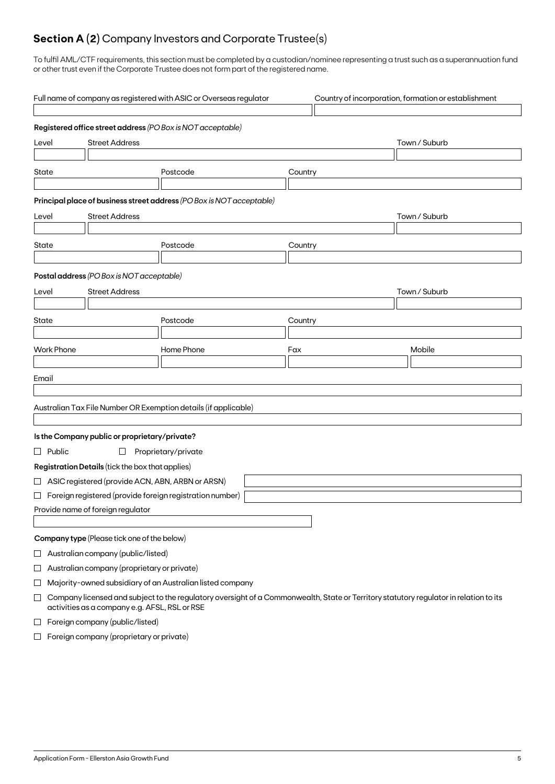# **Section A (2)** Company Investors and Corporate Trustee(s)

To fulfil AML/CTF requirements, this section must be completed by a custodian/nominee representing a trust such as a superannuation fund or other trust even if the Corporate Trustee does not form part of the registered name.

|                                | Full name of company as registered with ASIC or Overseas regulator<br>Country of incorporation, formation or establishment |                                                    |                                                                                                                                       |         |               |  |  |  |
|--------------------------------|----------------------------------------------------------------------------------------------------------------------------|----------------------------------------------------|---------------------------------------------------------------------------------------------------------------------------------------|---------|---------------|--|--|--|
|                                |                                                                                                                            |                                                    | Registered office street address (PO Box is NOT acceptable)                                                                           |         |               |  |  |  |
| <b>Street Address</b><br>Level |                                                                                                                            |                                                    |                                                                                                                                       |         | Town / Suburb |  |  |  |
| State                          |                                                                                                                            |                                                    | Postcode                                                                                                                              | Country |               |  |  |  |
|                                |                                                                                                                            |                                                    | Principal place of business street address (PO Box is NOT acceptable)                                                                 |         |               |  |  |  |
| <b>Street Address</b><br>Level |                                                                                                                            |                                                    |                                                                                                                                       |         | Town / Suburb |  |  |  |
| State                          |                                                                                                                            |                                                    | Postcode                                                                                                                              | Country |               |  |  |  |
|                                |                                                                                                                            |                                                    |                                                                                                                                       |         |               |  |  |  |
|                                |                                                                                                                            | Postal address (PO Box is NOT acceptable)          |                                                                                                                                       |         |               |  |  |  |
| Level                          |                                                                                                                            | <b>Street Address</b>                              |                                                                                                                                       |         | Town / Suburb |  |  |  |
| State                          |                                                                                                                            |                                                    | Postcode                                                                                                                              | Country |               |  |  |  |
|                                |                                                                                                                            |                                                    |                                                                                                                                       |         |               |  |  |  |
|                                | <b>Work Phone</b>                                                                                                          |                                                    | Home Phone                                                                                                                            | Fax     | Mobile        |  |  |  |
|                                |                                                                                                                            |                                                    |                                                                                                                                       |         |               |  |  |  |
| Email                          |                                                                                                                            |                                                    |                                                                                                                                       |         |               |  |  |  |
|                                |                                                                                                                            |                                                    |                                                                                                                                       |         |               |  |  |  |
|                                |                                                                                                                            |                                                    | Australian Tax File Number OR Exemption details (if applicable)                                                                       |         |               |  |  |  |
|                                |                                                                                                                            | Is the Company public or proprietary/private?      |                                                                                                                                       |         |               |  |  |  |
|                                | $\Box$ Public                                                                                                              | $\Box$                                             | Proprietary/private                                                                                                                   |         |               |  |  |  |
|                                |                                                                                                                            | Registration Details (tick the box that applies)   |                                                                                                                                       |         |               |  |  |  |
|                                |                                                                                                                            | □ ASIC registered (provide ACN, ABN, ARBN or ARSN) |                                                                                                                                       |         |               |  |  |  |
|                                |                                                                                                                            |                                                    | $\Box$ Foreign registered (provide foreign registration number)                                                                       |         |               |  |  |  |
|                                |                                                                                                                            | Provide name of foreign regulator                  |                                                                                                                                       |         |               |  |  |  |
|                                |                                                                                                                            |                                                    |                                                                                                                                       |         |               |  |  |  |
|                                |                                                                                                                            | Company type (Please tick one of the below)        |                                                                                                                                       |         |               |  |  |  |
| $\sqcup$                       |                                                                                                                            | Australian company (public/listed)                 |                                                                                                                                       |         |               |  |  |  |
| $\Box$                         |                                                                                                                            | Australian company (proprietary or private)        |                                                                                                                                       |         |               |  |  |  |
| ⊔                              |                                                                                                                            |                                                    | Majority-owned subsidiary of an Australian listed company                                                                             |         |               |  |  |  |
| $\Box$                         |                                                                                                                            | activities as a company e.g. AFSL, RSL or RSE      | Company licensed and subject to the regulatory oversight of a Commonwealth, State or Territory statutory regulator in relation to its |         |               |  |  |  |
| $\Box$                         |                                                                                                                            | Foreign company (public/listed)                    |                                                                                                                                       |         |               |  |  |  |

 $\Box$  Foreign company (proprietary or private)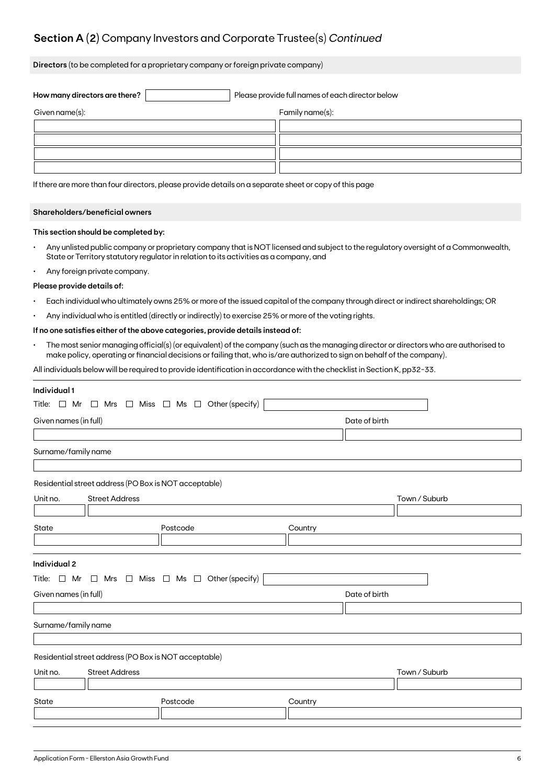# **Section A (2)** Company Investors and Corporate Trustee(s) *Continued*

**Directors** (to be completed for a proprietary company or foreign private company)

| How many directors are there? | Please provide full names of each director below |                 |  |  |  |
|-------------------------------|--------------------------------------------------|-----------------|--|--|--|
| Given name(s):                |                                                  | Family name(s): |  |  |  |
|                               |                                                  |                 |  |  |  |
|                               |                                                  |                 |  |  |  |
|                               |                                                  |                 |  |  |  |
|                               |                                                  |                 |  |  |  |

If there are more than four directors, please provide details on a separate sheet or copy of this page

## **Shareholders/beneficial owners**

### **This section should be completed by:**

- Any unlisted public company or proprietary company that is NOT licensed and subject to the regulatory oversight of a Commonwealth, State or Territory statutory regulator in relation to its activities as a company, and
- Any foreign private company.

#### **Please provide details of:**

- Each individual who ultimately owns 25% or more of the issued capital of the company through direct or indirect shareholdings; OR
- Any individual who is entitled (directly or indirectly) to exercise 25% or more of the voting rights.

## **If no one satisfies either of the above categories, provide details instead of:**

• The most senior managing official(s) (or equivalent) of the company (such as the managing director or directors who are authorised to make policy, operating or financial decisions or failing that, who is/are authorized to sign on behalf of the company).

All individuals below will be required to provide identification in accordance with the checklist in Section K, pp32-33.

| Title: $\Box$ Mr $\Box$ Mrs $\Box$ Miss $\Box$ Ms $\Box$ Other (specify)<br>Date of birth<br>Surname/family name<br>Residential street address (PO Box is NOT acceptable)<br><b>Street Address</b><br>Town / Suburb<br>State<br>Postcode<br>Country<br>Individual 2<br>Title: $\Box$ Mr $\Box$ Mrs $\Box$ Miss $\Box$ Ms $\Box$ Other (specify)<br>Given names (in full)<br>Date of birth<br>Surname/family name<br>Residential street address (PO Box is NOT acceptable)<br><b>Street Address</b><br>Town / Suburb<br>Postcode<br>State<br>Country | Individual 1          |  |  |  |  |  |  |  |  |  |
|-----------------------------------------------------------------------------------------------------------------------------------------------------------------------------------------------------------------------------------------------------------------------------------------------------------------------------------------------------------------------------------------------------------------------------------------------------------------------------------------------------------------------------------------------------|-----------------------|--|--|--|--|--|--|--|--|--|
|                                                                                                                                                                                                                                                                                                                                                                                                                                                                                                                                                     |                       |  |  |  |  |  |  |  |  |  |
|                                                                                                                                                                                                                                                                                                                                                                                                                                                                                                                                                     | Given names (in full) |  |  |  |  |  |  |  |  |  |
|                                                                                                                                                                                                                                                                                                                                                                                                                                                                                                                                                     |                       |  |  |  |  |  |  |  |  |  |
|                                                                                                                                                                                                                                                                                                                                                                                                                                                                                                                                                     |                       |  |  |  |  |  |  |  |  |  |
|                                                                                                                                                                                                                                                                                                                                                                                                                                                                                                                                                     |                       |  |  |  |  |  |  |  |  |  |
|                                                                                                                                                                                                                                                                                                                                                                                                                                                                                                                                                     |                       |  |  |  |  |  |  |  |  |  |
|                                                                                                                                                                                                                                                                                                                                                                                                                                                                                                                                                     | Unit no.              |  |  |  |  |  |  |  |  |  |
|                                                                                                                                                                                                                                                                                                                                                                                                                                                                                                                                                     |                       |  |  |  |  |  |  |  |  |  |
|                                                                                                                                                                                                                                                                                                                                                                                                                                                                                                                                                     |                       |  |  |  |  |  |  |  |  |  |
|                                                                                                                                                                                                                                                                                                                                                                                                                                                                                                                                                     |                       |  |  |  |  |  |  |  |  |  |
|                                                                                                                                                                                                                                                                                                                                                                                                                                                                                                                                                     |                       |  |  |  |  |  |  |  |  |  |
|                                                                                                                                                                                                                                                                                                                                                                                                                                                                                                                                                     |                       |  |  |  |  |  |  |  |  |  |
|                                                                                                                                                                                                                                                                                                                                                                                                                                                                                                                                                     |                       |  |  |  |  |  |  |  |  |  |
|                                                                                                                                                                                                                                                                                                                                                                                                                                                                                                                                                     |                       |  |  |  |  |  |  |  |  |  |
|                                                                                                                                                                                                                                                                                                                                                                                                                                                                                                                                                     |                       |  |  |  |  |  |  |  |  |  |
|                                                                                                                                                                                                                                                                                                                                                                                                                                                                                                                                                     |                       |  |  |  |  |  |  |  |  |  |
|                                                                                                                                                                                                                                                                                                                                                                                                                                                                                                                                                     |                       |  |  |  |  |  |  |  |  |  |
|                                                                                                                                                                                                                                                                                                                                                                                                                                                                                                                                                     |                       |  |  |  |  |  |  |  |  |  |
|                                                                                                                                                                                                                                                                                                                                                                                                                                                                                                                                                     | Unit no.              |  |  |  |  |  |  |  |  |  |
|                                                                                                                                                                                                                                                                                                                                                                                                                                                                                                                                                     |                       |  |  |  |  |  |  |  |  |  |
|                                                                                                                                                                                                                                                                                                                                                                                                                                                                                                                                                     |                       |  |  |  |  |  |  |  |  |  |
|                                                                                                                                                                                                                                                                                                                                                                                                                                                                                                                                                     |                       |  |  |  |  |  |  |  |  |  |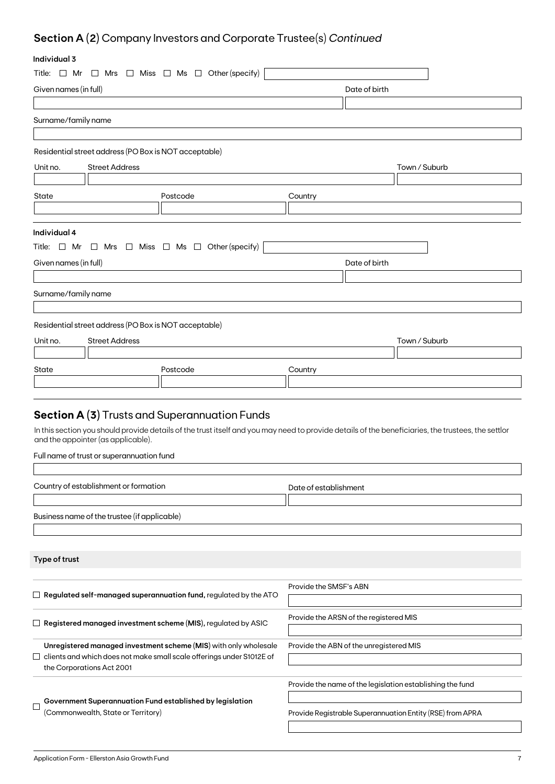# **Section A (2)** Company Investors and Corporate Trustee(s) *Continued*

# **Individual 3**

| ınaıvıauai s          |                                                                                       |                                                                                                                                                    |
|-----------------------|---------------------------------------------------------------------------------------|----------------------------------------------------------------------------------------------------------------------------------------------------|
|                       | Title: $\Box$ Mr $\Box$ Mrs $\Box$ Miss $\Box$ Ms $\Box$ Other (specify)              |                                                                                                                                                    |
| Given names (in full) |                                                                                       | Date of birth                                                                                                                                      |
|                       |                                                                                       |                                                                                                                                                    |
| Surname/family name   |                                                                                       |                                                                                                                                                    |
|                       |                                                                                       |                                                                                                                                                    |
|                       | Residential street address (PO Box is NOT acceptable)                                 |                                                                                                                                                    |
| Unit no.              | <b>Street Address</b>                                                                 | Town / Suburb                                                                                                                                      |
|                       |                                                                                       |                                                                                                                                                    |
| State                 | Postcode                                                                              | Country                                                                                                                                            |
|                       |                                                                                       |                                                                                                                                                    |
|                       |                                                                                       |                                                                                                                                                    |
| Individual 4          |                                                                                       |                                                                                                                                                    |
|                       | Title: $\Box$ Mr $\Box$ Mrs $\Box$ Miss $\Box$ Ms $\Box$ Other (specify)              |                                                                                                                                                    |
| Given names (in full) |                                                                                       | Date of birth                                                                                                                                      |
|                       |                                                                                       |                                                                                                                                                    |
| Surname/family name   |                                                                                       |                                                                                                                                                    |
|                       |                                                                                       |                                                                                                                                                    |
|                       | Residential street address (PO Box is NOT acceptable)                                 |                                                                                                                                                    |
| Unit no.              | <b>Street Address</b>                                                                 | Town / Suburb                                                                                                                                      |
|                       |                                                                                       |                                                                                                                                                    |
| State                 | Postcode                                                                              | Country                                                                                                                                            |
|                       |                                                                                       |                                                                                                                                                    |
|                       |                                                                                       |                                                                                                                                                    |
|                       | <b>Section A (3)</b> Trusts and Superannuation Funds                                  |                                                                                                                                                    |
|                       |                                                                                       | In this section you should provide details of the trust itself and you may need to provide details of the beneficiaries, the trustees, the settlor |
|                       | and the appointer (as applicable).                                                    |                                                                                                                                                    |
|                       | Full name of trust or superannuation fund                                             |                                                                                                                                                    |
|                       |                                                                                       |                                                                                                                                                    |
|                       | Country of establishment or formation                                                 | Date of establishment                                                                                                                              |
|                       |                                                                                       |                                                                                                                                                    |
|                       | Business name of the trustee (if applicable)                                          |                                                                                                                                                    |
|                       |                                                                                       |                                                                                                                                                    |
|                       |                                                                                       |                                                                                                                                                    |
| Type of trust         |                                                                                       |                                                                                                                                                    |
|                       |                                                                                       |                                                                                                                                                    |
|                       |                                                                                       | Provide the SMSF's ABN                                                                                                                             |
|                       | $\Box$ Re <mark>gulated self-managed superannuation fund,</mark> regulated by the ATO |                                                                                                                                                    |
|                       | $\Box$ Registered managed investment scheme (MIS), regulated by ASIC                  | Provide the ARSN of the registered MIS                                                                                                             |
|                       |                                                                                       |                                                                                                                                                    |
|                       | Unregistered managed investment scheme (MIS) with only wholesale                      | Provide the ABN of the unregistered MIS                                                                                                            |
|                       | clients and which does not make small scale offerings under S1012E of                 |                                                                                                                                                    |
|                       | the Corporations Act 2001                                                             |                                                                                                                                                    |
|                       |                                                                                       | Provide the name of the legislation establishing the fund                                                                                          |
|                       | $\overline{\phantom{a}}$ Government Superannuation Fund established by legislation    |                                                                                                                                                    |

Provide Registrable Superannuation Entity (RSE) from APRA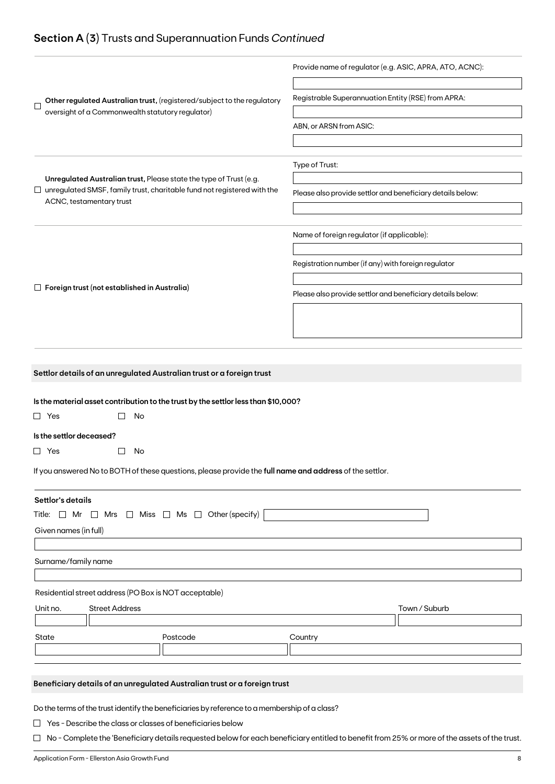# **Section A (3)** Trusts and Superannuation Funds *Continued*

|                                                                                                                                             | Provide name of regulator (e.g. ASIC, APRA, ATO, ACNC):    |  |  |  |
|---------------------------------------------------------------------------------------------------------------------------------------------|------------------------------------------------------------|--|--|--|
| Other regulated Australian trust, (registered/subject to the regulatory<br>$\mathbf{I}$<br>oversight of a Commonwealth statutory regulator) | Registrable Superannuation Entity (RSE) from APRA:         |  |  |  |
|                                                                                                                                             | ABN, or ARSN from ASIC:                                    |  |  |  |
|                                                                                                                                             |                                                            |  |  |  |
| Unregulated Australian trust, Please state the type of Trust (e.g.                                                                          | Type of Trust:                                             |  |  |  |
| $\Box$ unregulated SMSF, family trust, charitable fund not registered with the<br>ACNC, testamentary trust                                  | Please also provide settlor and beneficiary details below: |  |  |  |
|                                                                                                                                             |                                                            |  |  |  |
|                                                                                                                                             | Name of foreign regulator (if applicable):                 |  |  |  |
|                                                                                                                                             | Registration number (if any) with foreign regulator        |  |  |  |
| $\Box$ Foreign trust (not established in Australia)                                                                                         | Please also provide settlor and beneficiary details below: |  |  |  |
|                                                                                                                                             |                                                            |  |  |  |
|                                                                                                                                             |                                                            |  |  |  |
| Settlor details of an unregulated Australian trust or a foreign trust                                                                       |                                                            |  |  |  |
|                                                                                                                                             |                                                            |  |  |  |
| Is the material asset contribution to the trust by the settlor less than \$10,000?                                                          |                                                            |  |  |  |
| $\Box$ Yes<br>No                                                                                                                            |                                                            |  |  |  |
| Is the settlor deceased?                                                                                                                    |                                                            |  |  |  |
| $\Box$ Yes<br>No                                                                                                                            |                                                            |  |  |  |
| If you answered No to BOTH of these questions, please provide the full name and address of the settlor.                                     |                                                            |  |  |  |
| Settlor's details                                                                                                                           |                                                            |  |  |  |
| Title: $\Box$ Mr $\Box$ Mrs $\Box$ Miss $\Box$ Ms $\Box$ Other (specify)                                                                    |                                                            |  |  |  |
| Given names (in full)                                                                                                                       |                                                            |  |  |  |
|                                                                                                                                             |                                                            |  |  |  |
| Surname/family name                                                                                                                         |                                                            |  |  |  |
|                                                                                                                                             |                                                            |  |  |  |
| Residential street address (PO Box is NOT acceptable)                                                                                       |                                                            |  |  |  |
| Unit no.<br><b>Street Address</b>                                                                                                           | Town / Suburb                                              |  |  |  |
|                                                                                                                                             |                                                            |  |  |  |
| State<br>Postcode                                                                                                                           | Country                                                    |  |  |  |
|                                                                                                                                             |                                                            |  |  |  |
|                                                                                                                                             |                                                            |  |  |  |
| Beneficiary details of an unregulated Australian trust or a foreign trust                                                                   |                                                            |  |  |  |
|                                                                                                                                             |                                                            |  |  |  |
| Do the terms of the trust identify the beneficiaries by reference to a membership of a class?                                               |                                                            |  |  |  |
| $\Box$ Yes - Describe the class or classes of beneficiaries below                                                                           |                                                            |  |  |  |

□ No - Complete the 'Beneficiary details requested below for each beneficiary entitled to benefit from 25% or more of the assets of the trust.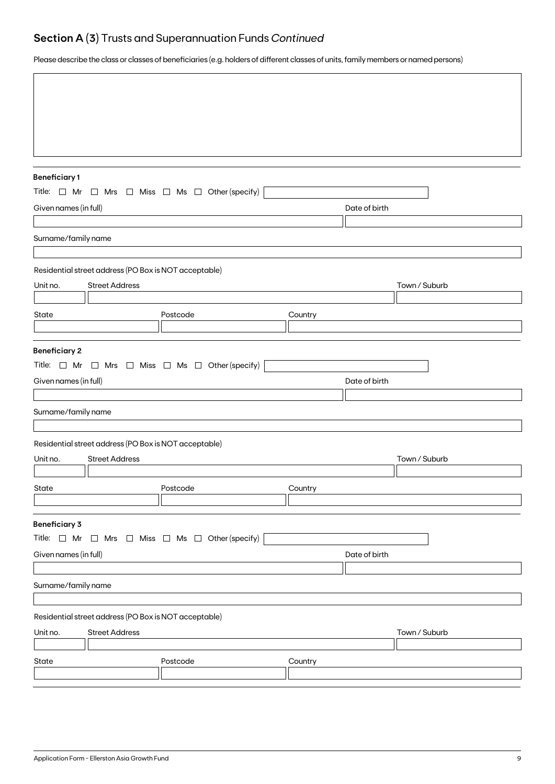# **Section A (3)** Trusts and Superannuation Funds *Continued*

Please describe the class or classes of beneficiaries (e.g. holders of different classes of units, family members or named persons)

| <b>Beneficiary1</b>                                                                                                |                                                                                                                                            |                                                                          |         |               |               |  |  |  |
|--------------------------------------------------------------------------------------------------------------------|--------------------------------------------------------------------------------------------------------------------------------------------|--------------------------------------------------------------------------|---------|---------------|---------------|--|--|--|
| Title: $\Box$ Mr $\Box$ Mrs $\Box$ Miss $\Box$ Ms $\Box$ Other (specify)<br>Given names (in full)<br>Date of birth |                                                                                                                                            |                                                                          |         |               |               |  |  |  |
|                                                                                                                    |                                                                                                                                            |                                                                          |         |               |               |  |  |  |
| Surname/family name                                                                                                |                                                                                                                                            |                                                                          |         |               |               |  |  |  |
|                                                                                                                    |                                                                                                                                            |                                                                          |         |               |               |  |  |  |
|                                                                                                                    | Residential street address (PO Box is NOT acceptable)                                                                                      |                                                                          |         |               |               |  |  |  |
| Unit no.                                                                                                           | <b>Street Address</b>                                                                                                                      |                                                                          |         |               | Town / Suburb |  |  |  |
| State                                                                                                              |                                                                                                                                            |                                                                          |         |               |               |  |  |  |
|                                                                                                                    |                                                                                                                                            | Postcode                                                                 | Country |               |               |  |  |  |
|                                                                                                                    | <b>Beneficiary 2</b><br>Title: $\Box$ Mr $\Box$ Mrs $\Box$ Miss $\Box$ Ms $\Box$ Other (specify)<br>Given names (in full)<br>Date of birth |                                                                          |         |               |               |  |  |  |
| Surname/family name                                                                                                |                                                                                                                                            |                                                                          |         |               |               |  |  |  |
|                                                                                                                    |                                                                                                                                            |                                                                          |         |               |               |  |  |  |
|                                                                                                                    | Residential street address (PO Box is NOT acceptable)                                                                                      |                                                                          |         |               |               |  |  |  |
| Unit no.                                                                                                           | <b>Street Address</b>                                                                                                                      |                                                                          |         |               | Town / Suburb |  |  |  |
| State                                                                                                              |                                                                                                                                            | Postcode                                                                 | Country |               |               |  |  |  |
|                                                                                                                    |                                                                                                                                            |                                                                          |         |               |               |  |  |  |
| <b>Beneficiary 3</b>                                                                                               |                                                                                                                                            |                                                                          |         |               |               |  |  |  |
|                                                                                                                    |                                                                                                                                            | Title: $\Box$ Mr $\Box$ Mrs $\Box$ Miss $\Box$ Ms $\Box$ Other (specify) |         |               |               |  |  |  |
| Given names (in full)                                                                                              |                                                                                                                                            |                                                                          |         | Date of birth |               |  |  |  |
|                                                                                                                    |                                                                                                                                            |                                                                          |         |               |               |  |  |  |
| Surname/family name                                                                                                |                                                                                                                                            |                                                                          |         |               |               |  |  |  |
|                                                                                                                    | Residential street address (PO Box is NOT acceptable)                                                                                      |                                                                          |         |               |               |  |  |  |
| Unit no.                                                                                                           | <b>Street Address</b>                                                                                                                      |                                                                          |         |               | Town / Suburb |  |  |  |
|                                                                                                                    |                                                                                                                                            |                                                                          |         |               |               |  |  |  |
| State                                                                                                              |                                                                                                                                            | Postcode                                                                 | Country |               |               |  |  |  |
|                                                                                                                    |                                                                                                                                            |                                                                          |         |               |               |  |  |  |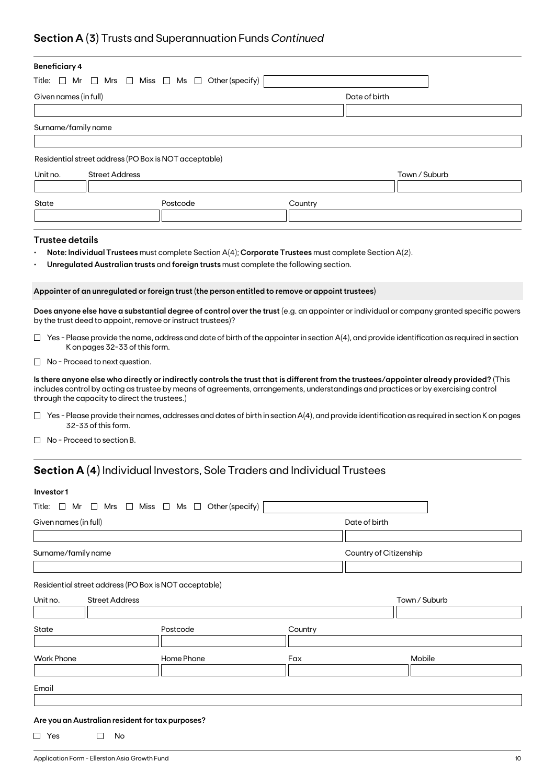# **Section A (3)** Trusts and Superannuation Funds *Continued*

| <b>Beneficiary 4</b>                                                          |                                                             |                                                                                                      |         |                                                                                                                                                                                                                                                                               |  |  |  |
|-------------------------------------------------------------------------------|-------------------------------------------------------------|------------------------------------------------------------------------------------------------------|---------|-------------------------------------------------------------------------------------------------------------------------------------------------------------------------------------------------------------------------------------------------------------------------------|--|--|--|
| $\Box$ Miss $\Box$ Ms $\Box$ Other (specify)<br>Title:<br>$\Box$ Mr<br>∟l Mrs |                                                             |                                                                                                      |         |                                                                                                                                                                                                                                                                               |  |  |  |
| Given names (in full)                                                         |                                                             |                                                                                                      |         | Date of birth                                                                                                                                                                                                                                                                 |  |  |  |
|                                                                               |                                                             |                                                                                                      |         |                                                                                                                                                                                                                                                                               |  |  |  |
| Surname/family name                                                           |                                                             |                                                                                                      |         |                                                                                                                                                                                                                                                                               |  |  |  |
|                                                                               |                                                             |                                                                                                      |         |                                                                                                                                                                                                                                                                               |  |  |  |
|                                                                               | Residential street address (PO Box is NOT acceptable)       |                                                                                                      |         |                                                                                                                                                                                                                                                                               |  |  |  |
| Unit no.                                                                      | <b>Street Address</b>                                       |                                                                                                      |         | Town / Suburb                                                                                                                                                                                                                                                                 |  |  |  |
|                                                                               |                                                             |                                                                                                      |         |                                                                                                                                                                                                                                                                               |  |  |  |
| State                                                                         |                                                             | Postcode                                                                                             | Country |                                                                                                                                                                                                                                                                               |  |  |  |
|                                                                               |                                                             |                                                                                                      |         |                                                                                                                                                                                                                                                                               |  |  |  |
| <b>Trustee details</b>                                                        |                                                             |                                                                                                      |         |                                                                                                                                                                                                                                                                               |  |  |  |
|                                                                               |                                                             | Note: Individual Trustees must complete Section A(4); Corporate Trustees must complete Section A(2). |         |                                                                                                                                                                                                                                                                               |  |  |  |
|                                                                               |                                                             | Unregulated Australian trusts and foreign trusts must complete the following section.                |         |                                                                                                                                                                                                                                                                               |  |  |  |
|                                                                               |                                                             |                                                                                                      |         |                                                                                                                                                                                                                                                                               |  |  |  |
|                                                                               |                                                             | Appointer of an unregulated or foreign trust (the person entitled to remove or appoint trustees)     |         |                                                                                                                                                                                                                                                                               |  |  |  |
|                                                                               | by the trust deed to appoint, remove or instruct trustees)? |                                                                                                      |         | Does anyone else have a substantial degree of control over the trust (e.g. an appointer or individual or company granted specific powers                                                                                                                                      |  |  |  |
|                                                                               | K on pages 32-33 of this form.                              |                                                                                                      |         | $\Box$ Yes - Please provide the name, address and date of birth of the appointer in section A(4), and provide identification as required in section                                                                                                                           |  |  |  |
|                                                                               | $\Box$ No - Proceed to next question.                       |                                                                                                      |         |                                                                                                                                                                                                                                                                               |  |  |  |
|                                                                               | through the capacity to direct the trustees.)               |                                                                                                      |         | Is there anyone else who directly or indirectly controls the trust that is different from the trustees/appointer already provided? (This<br>includes control by acting as trustee by means of agreements, arrangements, understandings and practices or by exercising control |  |  |  |
|                                                                               | 32-33 of this form.                                         |                                                                                                      |         | $\Box$ Yes - Please provide their names, addresses and dates of birth in section A(4), and provide identification as required in section K on pages                                                                                                                           |  |  |  |
| $\Box$ No - Proceed to section B.                                             |                                                             |                                                                                                      |         |                                                                                                                                                                                                                                                                               |  |  |  |
|                                                                               |                                                             | <b>Section A (4)</b> Individual Investors, Sole Traders and Individual Trustees                      |         |                                                                                                                                                                                                                                                                               |  |  |  |
|                                                                               |                                                             |                                                                                                      |         |                                                                                                                                                                                                                                                                               |  |  |  |
| Investor1                                                                     |                                                             |                                                                                                      |         |                                                                                                                                                                                                                                                                               |  |  |  |
|                                                                               |                                                             | Title: $\Box$ Mr $\Box$ Mrs $\Box$ Miss $\Box$ Ms $\Box$ Other (specify)                             |         |                                                                                                                                                                                                                                                                               |  |  |  |
| Given names (in full)                                                         |                                                             |                                                                                                      |         | Date of birth                                                                                                                                                                                                                                                                 |  |  |  |
|                                                                               |                                                             |                                                                                                      |         |                                                                                                                                                                                                                                                                               |  |  |  |
| Surname/family name                                                           |                                                             |                                                                                                      |         | Country of Citizenship                                                                                                                                                                                                                                                        |  |  |  |
|                                                                               |                                                             |                                                                                                      |         |                                                                                                                                                                                                                                                                               |  |  |  |

Residential street address (PO Box is NOT acceptable)

| Unit no.          | <b>Street Address</b> |            |         | Town / Suburb |
|-------------------|-----------------------|------------|---------|---------------|
|                   |                       |            |         |               |
| State             |                       | Postcode   | Country |               |
|                   |                       |            |         |               |
| <b>Work Phone</b> |                       | Home Phone | Fax     | Mobile        |
|                   |                       |            |         |               |
| Email             |                       |            |         |               |
|                   |                       |            |         |               |

## **Are you an Australian resident for tax purposes?**

 $\Box$  Yes  $\Box$  No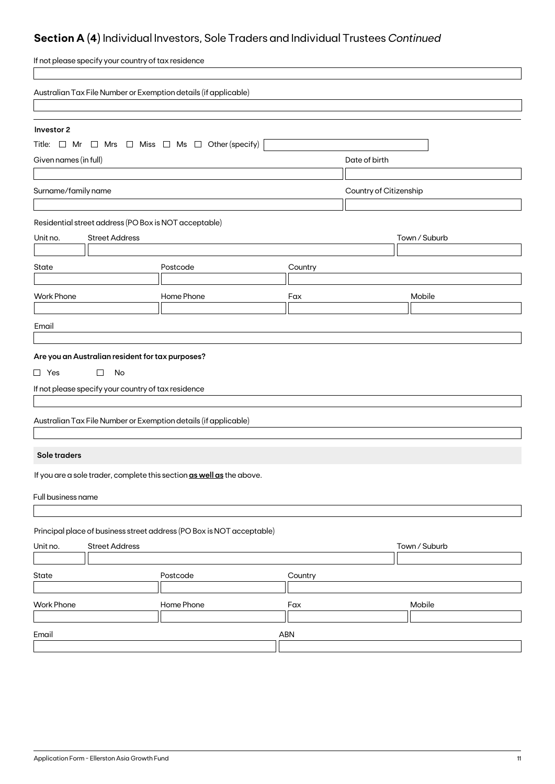# **Section A (4)** Individual Investors, Sole Traders and Individual Trustees *Continued*

| If not please specify your country of tax residence                      |                                                                       |         |                        |               |  |
|--------------------------------------------------------------------------|-----------------------------------------------------------------------|---------|------------------------|---------------|--|
| Australian Tax File Number or Exemption details (if applicable)          |                                                                       |         |                        |               |  |
|                                                                          |                                                                       |         |                        |               |  |
| Investor 2                                                               |                                                                       |         |                        |               |  |
| Title: $\Box$ Mr $\Box$ Mrs $\Box$ Miss $\Box$ Ms $\Box$ Other (specify) |                                                                       |         |                        |               |  |
| Given names (in full)                                                    |                                                                       |         | Date of birth          |               |  |
|                                                                          |                                                                       |         |                        |               |  |
| Surname/family name                                                      |                                                                       |         | Country of Citizenship |               |  |
| Residential street address (PO Box is NOT acceptable)                    |                                                                       |         |                        |               |  |
| <b>Street Address</b><br>Unit no.                                        |                                                                       |         |                        | Town / Suburb |  |
|                                                                          |                                                                       |         |                        |               |  |
| <b>State</b>                                                             | Postcode                                                              | Country |                        |               |  |
|                                                                          |                                                                       |         |                        |               |  |
| <b>Work Phone</b>                                                        | Home Phone                                                            | Fax     |                        | Mobile        |  |
| Email                                                                    |                                                                       |         |                        |               |  |
|                                                                          |                                                                       |         |                        |               |  |
| Are you an Australian resident for tax purposes?                         |                                                                       |         |                        |               |  |
| $\Box$ Yes<br>$\Box$<br>No                                               |                                                                       |         |                        |               |  |
| If not please specify your country of tax residence                      |                                                                       |         |                        |               |  |
|                                                                          |                                                                       |         |                        |               |  |
| Australian Tax File Number or Exemption details (if applicable)          |                                                                       |         |                        |               |  |
|                                                                          |                                                                       |         |                        |               |  |
| Sole traders                                                             |                                                                       |         |                        |               |  |
|                                                                          | If you are a sole trader, complete this section as well as the above. |         |                        |               |  |
| Full business name                                                       |                                                                       |         |                        |               |  |
|                                                                          |                                                                       |         |                        |               |  |
| Principal place of business street address (PO Box is NOT acceptable)    |                                                                       |         |                        |               |  |
| <b>Street Address</b><br>Unit no.                                        |                                                                       |         |                        | Town / Suburb |  |
| State                                                                    | Postcode                                                              | Country |                        |               |  |
|                                                                          |                                                                       |         |                        |               |  |
| <b>Work Phone</b>                                                        | Home Phone                                                            | Fax     |                        | Mobile        |  |
|                                                                          |                                                                       |         |                        |               |  |
| Email                                                                    | ABN                                                                   |         |                        |               |  |
|                                                                          |                                                                       |         |                        |               |  |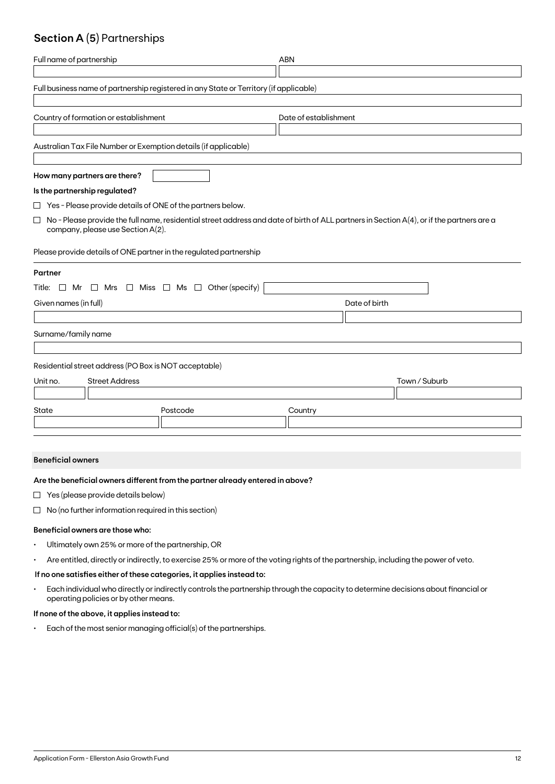# **Section A (5)** Partnerships

| Full name of partnership                                           |                                                                                                                                           | <b>ABN</b>    |               |  |
|--------------------------------------------------------------------|-------------------------------------------------------------------------------------------------------------------------------------------|---------------|---------------|--|
|                                                                    | Full business name of partnership registered in any State or Territory (if applicable)                                                    |               |               |  |
| Country of formation or establishment<br>Date of establishment     |                                                                                                                                           |               |               |  |
| Australian Tax File Number or Exemption details (if applicable)    |                                                                                                                                           |               |               |  |
| How many partners are there?                                       |                                                                                                                                           |               |               |  |
| Is the partnership regulated?                                      |                                                                                                                                           |               |               |  |
| $\Box$ Yes - Please provide details of ONE of the partners below.  |                                                                                                                                           |               |               |  |
| П<br>company, please use Section A(2).                             | No - Please provide the full name, residential street address and date of birth of ALL partners in Section A(4), or if the partners are a |               |               |  |
| Please provide details of ONE partner in the regulated partnership |                                                                                                                                           |               |               |  |
| Partner                                                            |                                                                                                                                           |               |               |  |
| Title: $\Box$ Mr                                                   | $\Box$ Mrs $\Box$ Miss $\Box$ Ms $\Box$ Other (specify)                                                                                   |               |               |  |
| Given names (in full)                                              |                                                                                                                                           | Date of birth |               |  |
|                                                                    |                                                                                                                                           |               |               |  |
| Surname/family name                                                |                                                                                                                                           |               |               |  |
| Residential street address (PO Box is NOT acceptable)              |                                                                                                                                           |               |               |  |
| <b>Street Address</b><br>Unit no.                                  |                                                                                                                                           |               | Town / Suburb |  |
|                                                                    |                                                                                                                                           |               |               |  |
| State                                                              | Postcode                                                                                                                                  | Country       |               |  |
|                                                                    |                                                                                                                                           |               |               |  |

#### **Beneficial owners**

### **Are the beneficial owners different from the partner already entered in above?**

- $\Box$  Yes (please provide details below)
- $\Box$  No (no further information required in this section)

#### **Beneficial owners are those who:**

- Ultimately own 25% or more of the partnership, OR
- Are entitled, directly or indirectly, to exercise 25% or more of the voting rights of the partnership, including the power of veto.

## **If no one satisfies either of these categories, it applies instead to:**

• Each individual who directly or indirectly controls the partnership through the capacity to determine decisions about financial or operating policies or by other means.

## **If none of the above, it applies instead to:**

• Each of the most senior managing official(s) of the partnerships.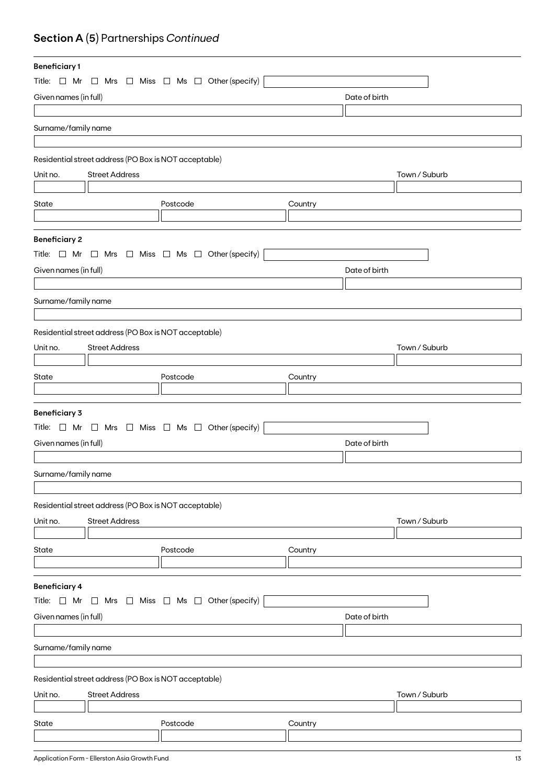# **Section A (5)** Partnerships *Continued*

| <b>Beneficiary1</b>                    |                                                       |                                                                          |               |               |  |
|----------------------------------------|-------------------------------------------------------|--------------------------------------------------------------------------|---------------|---------------|--|
|                                        |                                                       | Title: $\Box$ Mr $\Box$ Mrs $\Box$ Miss $\Box$ Ms $\Box$ Other (specify) |               |               |  |
| Given names (in full)                  |                                                       |                                                                          | Date of birth |               |  |
|                                        |                                                       |                                                                          |               |               |  |
| Surname/family name                    |                                                       |                                                                          |               |               |  |
|                                        |                                                       |                                                                          |               |               |  |
|                                        | Residential street address (PO Box is NOT acceptable) |                                                                          |               |               |  |
| Unit no.                               | <b>Street Address</b>                                 |                                                                          |               | Town / Suburb |  |
|                                        |                                                       |                                                                          |               |               |  |
| State                                  |                                                       | Postcode                                                                 |               |               |  |
|                                        |                                                       |                                                                          | Country       |               |  |
|                                        |                                                       |                                                                          |               |               |  |
| <b>Beneficiary 2</b>                   |                                                       |                                                                          |               |               |  |
|                                        |                                                       | Title: $\Box$ Mr $\Box$ Mrs $\Box$ Miss $\Box$ Ms $\Box$ Other (specify) |               |               |  |
| Given names (in full)                  |                                                       |                                                                          | Date of birth |               |  |
|                                        |                                                       |                                                                          |               |               |  |
| Surname/family name                    |                                                       |                                                                          |               |               |  |
|                                        |                                                       |                                                                          |               |               |  |
|                                        | Residential street address (PO Box is NOT acceptable) |                                                                          |               |               |  |
| Unit no.                               | <b>Street Address</b>                                 |                                                                          |               | Town / Suburb |  |
|                                        |                                                       |                                                                          |               |               |  |
| State                                  |                                                       | Postcode                                                                 |               |               |  |
|                                        |                                                       |                                                                          | Country       |               |  |
|                                        |                                                       |                                                                          |               |               |  |
| <b>Beneficiary 3</b>                   |                                                       |                                                                          |               |               |  |
|                                        |                                                       | Title: $\Box$ Mr $\Box$ Mrs $\Box$ Miss $\Box$ Ms $\Box$ Other (specify) |               |               |  |
| Given names (in full)                  |                                                       |                                                                          | Date of birth |               |  |
|                                        |                                                       |                                                                          |               |               |  |
| Surname/family name                    |                                                       |                                                                          |               |               |  |
|                                        |                                                       |                                                                          |               |               |  |
|                                        | Residential street address (PO Box is NOT acceptable) |                                                                          |               |               |  |
| Unit no.                               | <b>Street Address</b>                                 |                                                                          |               | Town / Suburb |  |
|                                        |                                                       |                                                                          |               |               |  |
| State                                  |                                                       | Postcode                                                                 | Country       |               |  |
|                                        |                                                       |                                                                          |               |               |  |
|                                        |                                                       |                                                                          |               |               |  |
| <b>Beneficiary 4</b>                   |                                                       |                                                                          |               |               |  |
| Title: $\Box$ Mr                       |                                                       | $\Box$ Mrs $\Box$ Miss $\Box$ Ms $\Box$ Other (specify)                  |               |               |  |
| Given names (in full)<br>Date of birth |                                                       |                                                                          |               |               |  |
|                                        |                                                       |                                                                          |               |               |  |
| Surname/family name                    |                                                       |                                                                          |               |               |  |
|                                        |                                                       |                                                                          |               |               |  |
|                                        | Residential street address (PO Box is NOT acceptable) |                                                                          |               |               |  |
| Unit no.                               | <b>Street Address</b>                                 |                                                                          |               | Town / Suburb |  |
|                                        |                                                       |                                                                          |               |               |  |
| State                                  |                                                       | Postcode                                                                 | Country       |               |  |
|                                        |                                                       |                                                                          |               |               |  |
|                                        |                                                       |                                                                          |               |               |  |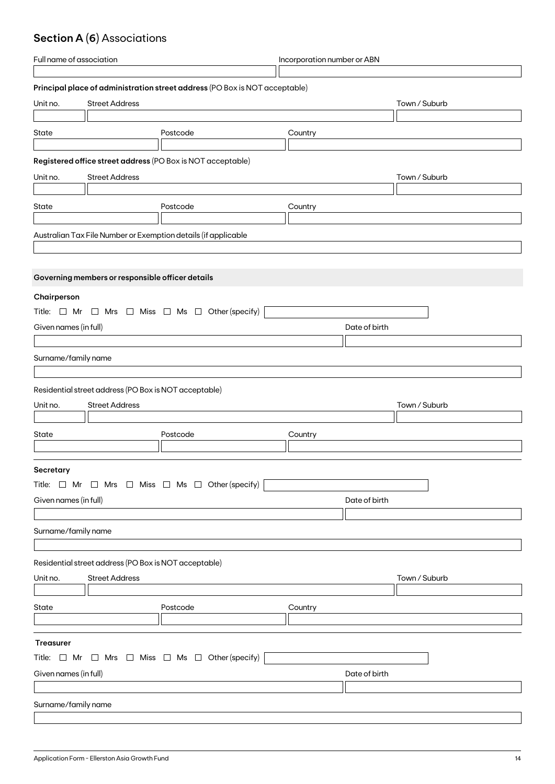# **Section A (6)** Associations

| Full name of association                                                 |                                                       | Incorporation number or ABN                                                 |         |               |  |
|--------------------------------------------------------------------------|-------------------------------------------------------|-----------------------------------------------------------------------------|---------|---------------|--|
|                                                                          |                                                       |                                                                             |         |               |  |
|                                                                          |                                                       | Principal place of administration street address (PO Box is NOT acceptable) |         |               |  |
| Unit no.                                                                 | <b>Street Address</b>                                 |                                                                             |         | Town / Suburb |  |
|                                                                          |                                                       |                                                                             |         |               |  |
| State                                                                    |                                                       | Postcode                                                                    | Country |               |  |
|                                                                          |                                                       |                                                                             |         |               |  |
|                                                                          |                                                       | Registered office street address (PO Box is NOT acceptable)                 |         |               |  |
| Unit no.                                                                 | <b>Street Address</b>                                 |                                                                             |         | Town / Suburb |  |
|                                                                          |                                                       |                                                                             |         |               |  |
| State                                                                    |                                                       | Postcode                                                                    | Country |               |  |
|                                                                          |                                                       |                                                                             |         |               |  |
|                                                                          |                                                       | Australian Tax File Number or Exemption details (if applicable              |         |               |  |
|                                                                          |                                                       |                                                                             |         |               |  |
|                                                                          |                                                       |                                                                             |         |               |  |
|                                                                          | Governing members or responsible officer details      |                                                                             |         |               |  |
| Chairperson                                                              |                                                       |                                                                             |         |               |  |
|                                                                          |                                                       | Title: $\Box$ Mr $\Box$ Mrs $\Box$ Miss $\Box$ Ms $\Box$ Other (specify)    |         |               |  |
|                                                                          |                                                       |                                                                             |         |               |  |
| Given names (in full)                                                    |                                                       |                                                                             |         | Date of birth |  |
|                                                                          |                                                       |                                                                             |         |               |  |
| Surname/family name                                                      |                                                       |                                                                             |         |               |  |
|                                                                          |                                                       |                                                                             |         |               |  |
|                                                                          | Residential street address (PO Box is NOT acceptable) |                                                                             |         |               |  |
| Unit no.                                                                 | <b>Street Address</b>                                 |                                                                             |         | Town / Suburb |  |
|                                                                          |                                                       |                                                                             |         |               |  |
| State                                                                    |                                                       | Postcode                                                                    | Country |               |  |
|                                                                          |                                                       |                                                                             |         |               |  |
| <b>Secretary</b>                                                         |                                                       |                                                                             |         |               |  |
|                                                                          |                                                       | Title: $\Box$ Mr $\Box$ Mrs $\Box$ Miss $\Box$ Ms $\Box$ Other (specify)    |         |               |  |
| Given names (in full)                                                    |                                                       |                                                                             |         | Date of birth |  |
|                                                                          |                                                       |                                                                             |         |               |  |
|                                                                          |                                                       |                                                                             |         |               |  |
| Surname/family name                                                      |                                                       |                                                                             |         |               |  |
|                                                                          |                                                       |                                                                             |         |               |  |
|                                                                          | Residential street address (PO Box is NOT acceptable) |                                                                             |         |               |  |
| Unit no.                                                                 | <b>Street Address</b>                                 |                                                                             |         | Town / Suburb |  |
|                                                                          |                                                       |                                                                             |         |               |  |
| State                                                                    |                                                       | Postcode                                                                    | Country |               |  |
|                                                                          |                                                       |                                                                             |         |               |  |
| <b>Treasurer</b>                                                         |                                                       |                                                                             |         |               |  |
|                                                                          |                                                       |                                                                             |         |               |  |
| Title: $\Box$ Mr $\Box$ Mrs $\Box$ Miss $\Box$ Ms $\Box$ Other (specify) |                                                       |                                                                             |         |               |  |
| Given names (in full)                                                    |                                                       |                                                                             |         | Date of birth |  |
|                                                                          |                                                       |                                                                             |         |               |  |
| Surname/family name                                                      |                                                       |                                                                             |         |               |  |
|                                                                          |                                                       |                                                                             |         |               |  |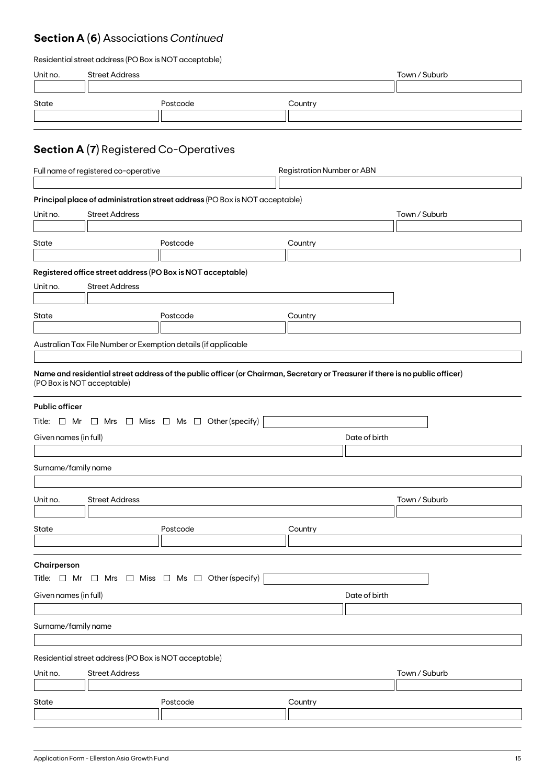# **Section A (6)** Associations *Continued*

| Residential street address (PO Box is NOT acceptable) |  |  |
|-------------------------------------------------------|--|--|
|-------------------------------------------------------|--|--|

| Unit no.                                                                                                                          | <b>Street Address</b>                                                                           |                                                                                                                                                                                                           |                                   | Town / Suburb |  |
|-----------------------------------------------------------------------------------------------------------------------------------|-------------------------------------------------------------------------------------------------|-----------------------------------------------------------------------------------------------------------------------------------------------------------------------------------------------------------|-----------------------------------|---------------|--|
| State                                                                                                                             |                                                                                                 | Postcode                                                                                                                                                                                                  | Country                           |               |  |
|                                                                                                                                   | <b>Section A (7)</b> Registered Co-Operatives                                                   |                                                                                                                                                                                                           |                                   |               |  |
|                                                                                                                                   | Full name of registered co-operative                                                            |                                                                                                                                                                                                           | <b>Registration Number or ABN</b> |               |  |
| Unit no.                                                                                                                          | <b>Street Address</b>                                                                           | Principal place of administration street address (PO Box is NOT acceptable)                                                                                                                               |                                   | Town / Suburb |  |
|                                                                                                                                   |                                                                                                 |                                                                                                                                                                                                           |                                   |               |  |
| State                                                                                                                             |                                                                                                 | Postcode                                                                                                                                                                                                  | Country                           |               |  |
|                                                                                                                                   |                                                                                                 | Registered office street address (PO Box is NOT acceptable)                                                                                                                                               |                                   |               |  |
| Unit no.                                                                                                                          | <b>Street Address</b>                                                                           |                                                                                                                                                                                                           |                                   |               |  |
| State                                                                                                                             |                                                                                                 | Postcode                                                                                                                                                                                                  | Country                           |               |  |
|                                                                                                                                   |                                                                                                 | Australian Tax File Number or Exemption details (if applicable                                                                                                                                            |                                   |               |  |
| <b>Public officer</b><br>Given names (in full)<br>Surname/family name                                                             | (PO Box is NOT acceptable)                                                                      | Name and residential street address of the public officer (or Chairman, Secretary or Treasurer if there is no public officer)<br>Title: $\Box$ Mr $\Box$ Mrs $\Box$ Miss $\Box$ Ms $\Box$ Other (specify) | Date of birth                     |               |  |
|                                                                                                                                   |                                                                                                 |                                                                                                                                                                                                           |                                   |               |  |
| Unit no.                                                                                                                          | <b>Street Address</b>                                                                           |                                                                                                                                                                                                           |                                   | Town / Suburb |  |
| State                                                                                                                             |                                                                                                 | Postcode                                                                                                                                                                                                  | Country                           |               |  |
| Chairperson<br>Title: $\Box$ Mr $\Box$ Mrs $\Box$ Miss $\Box$ Ms $\Box$ Other (specify)<br>Given names (in full)<br>Date of birth |                                                                                                 |                                                                                                                                                                                                           |                                   |               |  |
| Surname/family name                                                                                                               |                                                                                                 |                                                                                                                                                                                                           |                                   |               |  |
|                                                                                                                                   |                                                                                                 |                                                                                                                                                                                                           |                                   |               |  |
| Unit no.                                                                                                                          | Residential street address (PO Box is NOT acceptable)<br><b>Street Address</b><br>Town / Suburb |                                                                                                                                                                                                           |                                   |               |  |
| State                                                                                                                             |                                                                                                 | Postcode                                                                                                                                                                                                  | Country                           |               |  |
|                                                                                                                                   |                                                                                                 |                                                                                                                                                                                                           |                                   |               |  |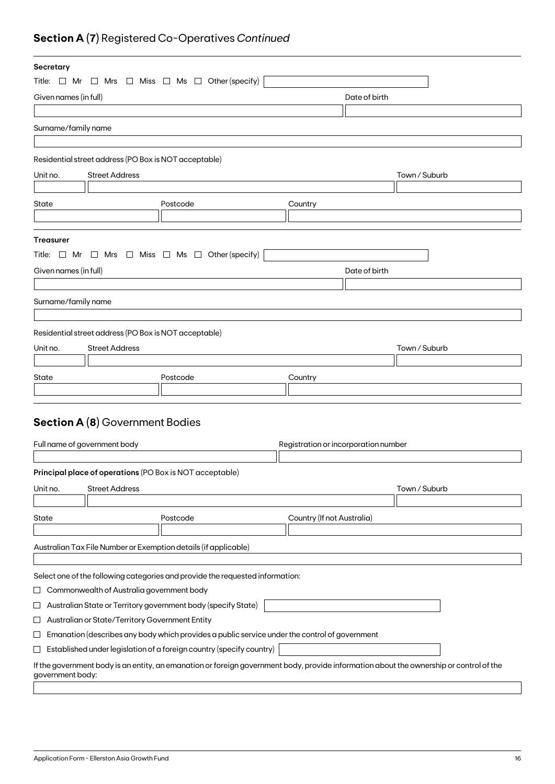# **Section A (7)** Registered Co-Operatives *Continued*

| Secretary                                                                                                                                                   |                                                                                               |                                      |               |  |
|-------------------------------------------------------------------------------------------------------------------------------------------------------------|-----------------------------------------------------------------------------------------------|--------------------------------------|---------------|--|
| Title: $\Box$ Mr $\Box$ Mrs $\Box$ Miss $\Box$ Ms $\Box$ Other (specify)                                                                                    |                                                                                               |                                      |               |  |
| Given names (in full)                                                                                                                                       |                                                                                               | Date of birth                        |               |  |
|                                                                                                                                                             |                                                                                               |                                      |               |  |
| Surname/family name                                                                                                                                         |                                                                                               |                                      |               |  |
|                                                                                                                                                             |                                                                                               |                                      |               |  |
| Residential street address (PO Box is NOT acceptable)                                                                                                       |                                                                                               |                                      |               |  |
| <b>Street Address</b><br>Unit no.                                                                                                                           |                                                                                               |                                      | Town / Suburb |  |
|                                                                                                                                                             |                                                                                               |                                      |               |  |
| State                                                                                                                                                       | Postcode                                                                                      | Country                              |               |  |
|                                                                                                                                                             |                                                                                               |                                      |               |  |
|                                                                                                                                                             |                                                                                               |                                      |               |  |
| <b>Treasurer</b>                                                                                                                                            |                                                                                               |                                      |               |  |
| Title: $\Box$ Mr $\Box$ Mrs $\Box$ Miss $\Box$ Ms $\Box$ Other (specify)                                                                                    |                                                                                               |                                      |               |  |
| Given names (in full)                                                                                                                                       |                                                                                               | Date of birth                        |               |  |
|                                                                                                                                                             |                                                                                               |                                      |               |  |
| Surname/family name                                                                                                                                         |                                                                                               |                                      |               |  |
|                                                                                                                                                             |                                                                                               |                                      |               |  |
| Residential street address (PO Box is NOT acceptable)                                                                                                       |                                                                                               |                                      |               |  |
| Unit no.<br><b>Street Address</b>                                                                                                                           |                                                                                               |                                      | Town / Suburb |  |
|                                                                                                                                                             |                                                                                               |                                      |               |  |
| State                                                                                                                                                       | Postcode                                                                                      | Country                              |               |  |
|                                                                                                                                                             |                                                                                               |                                      |               |  |
|                                                                                                                                                             |                                                                                               |                                      |               |  |
| <b>Section A (8)</b> Government Bodies                                                                                                                      |                                                                                               |                                      |               |  |
|                                                                                                                                                             |                                                                                               |                                      |               |  |
| Full name of government body                                                                                                                                |                                                                                               | Registration or incorporation number |               |  |
|                                                                                                                                                             |                                                                                               |                                      |               |  |
| Principal place of operations (PO Box is NOT acceptable)                                                                                                    |                                                                                               |                                      |               |  |
| Unit no.<br><b>Street Address</b>                                                                                                                           |                                                                                               |                                      | Town / Suburb |  |
|                                                                                                                                                             |                                                                                               |                                      |               |  |
| State                                                                                                                                                       | Postcode                                                                                      | Country (If not Australia)           |               |  |
|                                                                                                                                                             |                                                                                               |                                      |               |  |
| Australian Tax File Number or Exemption details (if applicable)                                                                                             |                                                                                               |                                      |               |  |
|                                                                                                                                                             |                                                                                               |                                      |               |  |
| Select one of the following categories and provide the requested information:                                                                               |                                                                                               |                                      |               |  |
| Commonwealth of Australia government body<br>ப                                                                                                              |                                                                                               |                                      |               |  |
| Australian State or Territory government body (specify State)<br>ப                                                                                          |                                                                                               |                                      |               |  |
| Australian or State/Territory Government Entity<br>ப                                                                                                        |                                                                                               |                                      |               |  |
| $\sqcup$                                                                                                                                                    | Emanation (describes any body which provides a public service under the control of government |                                      |               |  |
| $\sqcup$                                                                                                                                                    | Established under legislation of a foreign country (specify country)                          |                                      |               |  |
| If the government body is an entity, an emanation or foreign government body, provide information about the ownership or control of the<br>government body: |                                                                                               |                                      |               |  |
|                                                                                                                                                             |                                                                                               |                                      |               |  |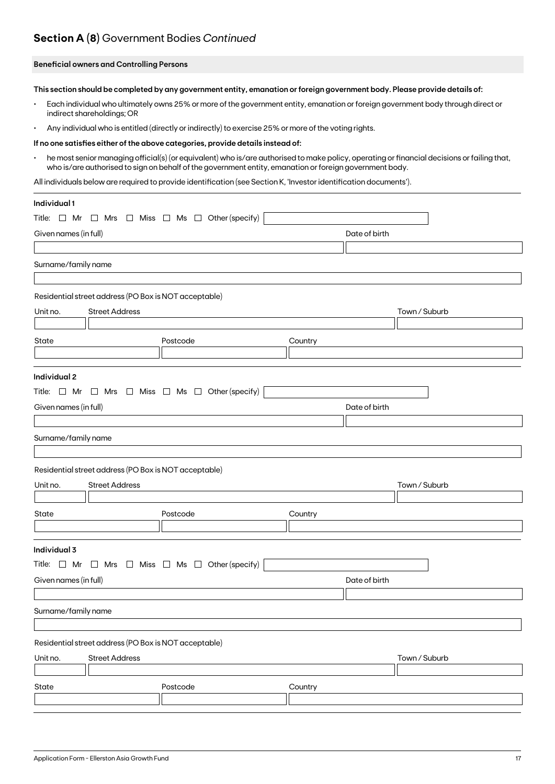# **Section A (8)** Government Bodies *Continued*

## **Beneficial owners and Controlling Persons**

**This section should be completed by any government entity, emanation or foreign government body. Please provide details of:**

- Each individual who ultimately owns 25% or more of the government entity, emanation or foreign government body through direct or indirect shareholdings; OR
- Any individual who is entitled (directly or indirectly) to exercise 25% or more of the voting rights.

#### **If no one satisfies either of the above categories, provide details instead of:**

• he most senior managing official(s) (or equivalent) who is/are authorised to make policy, operating or financial decisions or failing that, who is/are authorised to sign on behalf of the government entity, emanation or foreign government body.

All individuals below are required to provide identification (see Section K, 'Investor identification documents').

| Individual 1                                                             |                                                         |               |               |
|--------------------------------------------------------------------------|---------------------------------------------------------|---------------|---------------|
| Title: $\Box$ Mr                                                         | $\Box$ Mrs $\Box$ Miss $\Box$ Ms $\Box$ Other (specify) |               |               |
| Given names (in full)                                                    |                                                         | Date of birth |               |
|                                                                          |                                                         |               |               |
| Surname/family name                                                      |                                                         |               |               |
|                                                                          |                                                         |               |               |
| Residential street address (PO Box is NOT acceptable)                    |                                                         |               |               |
| <b>Street Address</b><br>Unit no.                                        |                                                         |               | Town / Suburb |
|                                                                          |                                                         |               |               |
| State                                                                    | Postcode                                                | Country       |               |
|                                                                          |                                                         |               |               |
| Individual 2                                                             |                                                         |               |               |
| Title: $\Box$ Mr $\Box$ Mrs $\Box$ Miss $\Box$ Ms $\Box$ Other (specify) |                                                         |               |               |
| Given names (in full)                                                    |                                                         | Date of birth |               |
|                                                                          |                                                         |               |               |
| Surname/family name                                                      |                                                         |               |               |
|                                                                          |                                                         |               |               |
| Residential street address (PO Box is NOT acceptable)                    |                                                         |               |               |
| Unit no.<br><b>Street Address</b>                                        |                                                         |               | Town / Suburb |
|                                                                          |                                                         |               |               |
| State                                                                    | Postcode                                                | Country       |               |
|                                                                          |                                                         |               |               |
| Individual 3                                                             |                                                         |               |               |
| Title: $\Box$ Mr $\Box$ Mrs $\Box$ Miss $\Box$ Ms $\Box$ Other (specify) |                                                         |               |               |
| Given names (in full)                                                    |                                                         | Date of birth |               |
|                                                                          |                                                         |               |               |
| Surname/family name                                                      |                                                         |               |               |
|                                                                          |                                                         |               |               |
| Residential street address (PO Box is NOT acceptable)                    |                                                         |               |               |
| Unit no.<br><b>Street Address</b>                                        |                                                         |               | Town / Suburb |
|                                                                          |                                                         |               |               |
| State                                                                    | Postcode                                                | Country       |               |
|                                                                          |                                                         |               |               |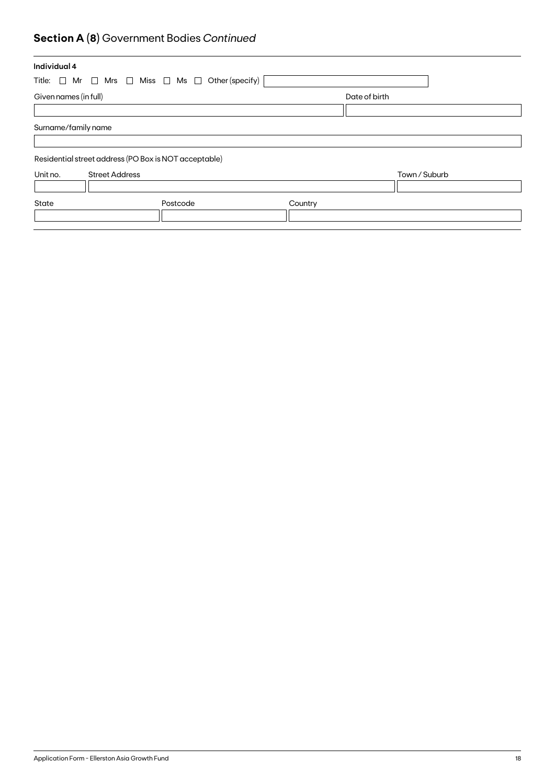# **Section A (8)** Government Bodies *Continued*

| Individual 4          |                                                                          |         |               |  |
|-----------------------|--------------------------------------------------------------------------|---------|---------------|--|
|                       | Title: $\Box$ Mr $\Box$ Mrs $\Box$ Miss $\Box$ Ms $\Box$ Other (specify) |         |               |  |
| Given names (in full) |                                                                          |         | Date of birth |  |
|                       |                                                                          |         |               |  |
| Surname/family name   |                                                                          |         |               |  |
|                       | Residential street address (PO Box is NOT acceptable)                    |         |               |  |
| Unit no.              | <b>Street Address</b>                                                    |         | Town / Suburb |  |
|                       |                                                                          |         |               |  |
| State                 | Postcode                                                                 | Country |               |  |
|                       |                                                                          |         |               |  |
|                       |                                                                          |         |               |  |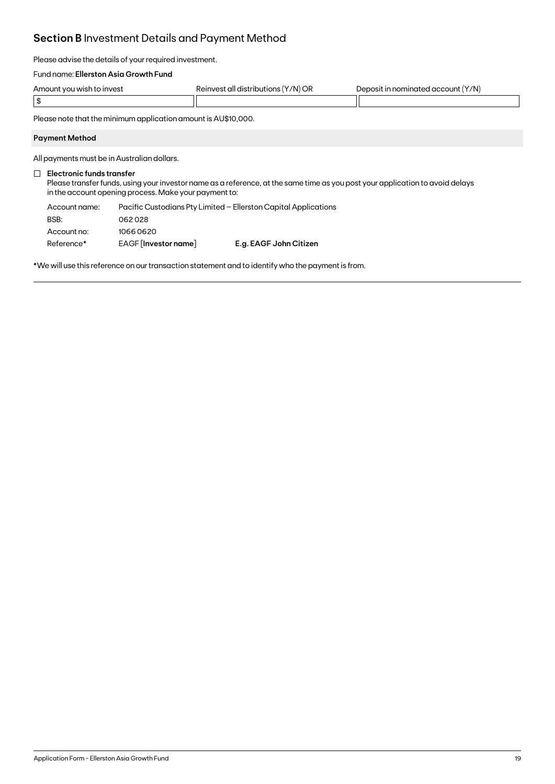# **Section B** Investment Details and Payment Method

Please advise the details of your required investment.

## Fund name: **Ellerston Asia Growth Fund**

| Amount you wish to invest | 'Y/N) OR<br>Reinvest all distributions ( | : (Y/N)<br>Deposit in nominated account I |
|---------------------------|------------------------------------------|-------------------------------------------|
| $\sim$ 13                 |                                          |                                           |

Please note that the minimum application amount is AU\$10,000.

## **Payment Method**

All payments must be in Australian dollars.

## **Electronic funds transfer**

Please transfer funds, using your investor name as a reference, at the same time as you post your application to avoid delays in the account opening process. Make your payment to:

| Account name: |                      | Pacific Custodians Pty Limited - Ellerston Capital Applications |
|---------------|----------------------|-----------------------------------------------------------------|
| BSB:          | 062028               |                                                                 |
| Account no:   | 10660620             |                                                                 |
| Reference*    | EAGF [Investor name] | E.g. EAGF John Citizen                                          |

\*We will use this reference on our transaction statement and to identify who the payment is from.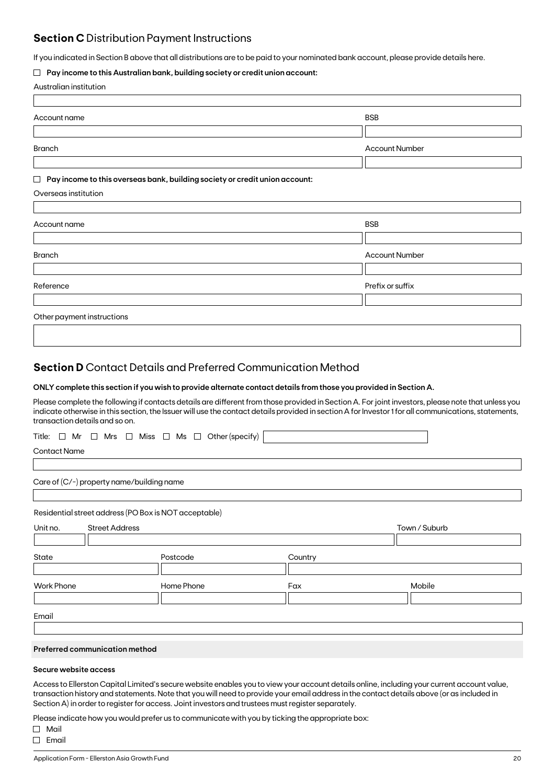# **Section C** Distribution Payment Instructions

If you indicated in Section B above that all distributions are to be paid to your nominated bank account, please provide details here.

## **Pay income to this Australian bank, building society or credit union account:**

|  | Australian institution |
|--|------------------------|
|--|------------------------|

| Account name                                                                     | <b>BSB</b>            |
|----------------------------------------------------------------------------------|-----------------------|
|                                                                                  |                       |
| Branch                                                                           | <b>Account Number</b> |
|                                                                                  |                       |
| Pay income to this overseas bank, building society or credit union account:<br>Ш |                       |
| Overseas institution                                                             |                       |
|                                                                                  |                       |
| Account name                                                                     | <b>BSB</b>            |
|                                                                                  |                       |
| <b>Branch</b>                                                                    | <b>Account Number</b> |
|                                                                                  |                       |
| Reference                                                                        | Prefix or suffix      |
|                                                                                  |                       |
| Other payment instructions                                                       |                       |

# **Section D** Contact Details and Preferred Communication Method

### **ONLY complete this section if you wish to provide alternate contact details from those you provided in Section A.**

Please complete the following if contacts details are different from those provided in Section A. For joint investors, please note that unless you indicate otherwise in this section, the Issuer will use the contact details provided in section A for Investor 1 for all communications, statements, transaction details and so on.

|  |  |  |  |  |  |  |  |  |  | Title: $\Box$ Mr $\Box$ Mrs $\Box$ Miss $\Box$ Ms $\Box$ Other (specify) |  |
|--|--|--|--|--|--|--|--|--|--|--------------------------------------------------------------------------|--|
|--|--|--|--|--|--|--|--|--|--|--------------------------------------------------------------------------|--|

Contact Name

Care of (C/-) property name/building name

Residential street address (PO Box is NOT acceptable)

| Unit no.          | <b>Street Address</b> |            |         | Town / Suburb |
|-------------------|-----------------------|------------|---------|---------------|
|                   |                       |            |         |               |
| State             |                       | Postcode   | Country |               |
|                   |                       |            |         |               |
| <b>Work Phone</b> |                       | Home Phone | Fax     | Mobile        |
|                   |                       |            |         |               |
|                   |                       |            |         |               |
| Email             |                       |            |         |               |

## **Preferred communication method**

## **Secure website access**

Access to Ellerston Capital Limited's secure website enables you to view your account details online, including your current account value, transaction history and statements. Note that you will need to provide your email address in the contact details above (or as included in Section A) in order to register for access. Joint investors and trustees must register separately.

Please indicate how you would prefer us to communicate with you by ticking the appropriate box:

Mail

 $\Box$  Email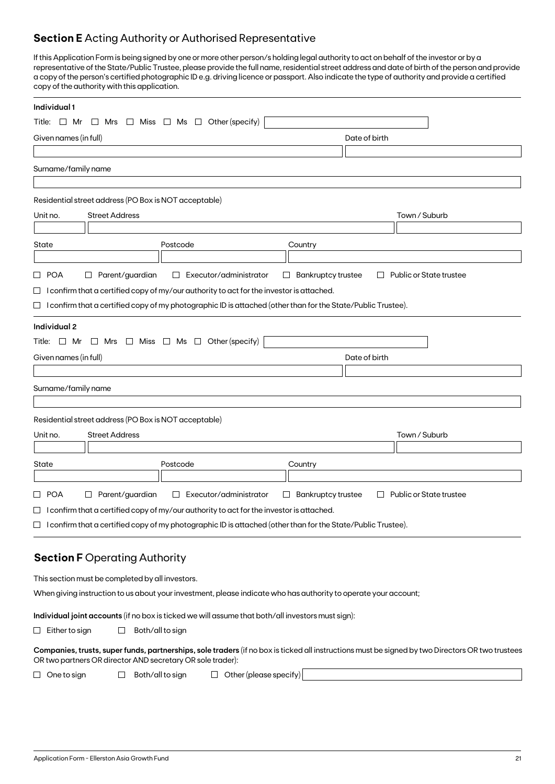# **Section E** Acting Authority or Authorised Representative

If this Application Form is being signed by one or more other person/s holding legal authority to act on behalf of the investor or by a representative of the State/Public Trustee, please provide the full name, residential street address and date of birth of the person and provide a copy of the person's certified photographic ID e.g. driving licence or passport. Also indicate the type of authority and provide a certified copy of the authority with this application.

| Individual 1          |                                                       |                                                                                                                     |                                     |               |                                                                                                                                                  |
|-----------------------|-------------------------------------------------------|---------------------------------------------------------------------------------------------------------------------|-------------------------------------|---------------|--------------------------------------------------------------------------------------------------------------------------------------------------|
| Title:<br>$\Box$ Mr   | $\Box$ Mrs                                            | Other (specify)<br>$\Box$ Miss $\Box$ Ms $\Box$                                                                     |                                     |               |                                                                                                                                                  |
| Given names (in full) |                                                       |                                                                                                                     |                                     | Date of birth |                                                                                                                                                  |
|                       |                                                       |                                                                                                                     |                                     |               |                                                                                                                                                  |
| Surname/family name   |                                                       |                                                                                                                     |                                     |               |                                                                                                                                                  |
|                       |                                                       |                                                                                                                     |                                     |               |                                                                                                                                                  |
|                       | Residential street address (PO Box is NOT acceptable) |                                                                                                                     |                                     |               |                                                                                                                                                  |
| Unit no.              | <b>Street Address</b>                                 |                                                                                                                     |                                     |               | Town / Suburb                                                                                                                                    |
|                       |                                                       |                                                                                                                     |                                     |               |                                                                                                                                                  |
| State                 |                                                       | Postcode                                                                                                            | Country                             |               |                                                                                                                                                  |
|                       |                                                       |                                                                                                                     |                                     |               |                                                                                                                                                  |
| □ POA<br>ப            | Parent/guardian                                       | Executor/administrator<br>$\Box$                                                                                    | <b>Bankruptcy trustee</b><br>$\Box$ | $\Box$        | Public or State trustee                                                                                                                          |
|                       |                                                       | $\Box$ I confirm that a certified copy of my/our authority to act for the investor is attached.                     |                                     |               |                                                                                                                                                  |
|                       |                                                       | $\Box$ I confirm that a certified copy of my photographic ID is attached (other than for the State/Public Trustee). |                                     |               |                                                                                                                                                  |
| <b>Individual 2</b>   |                                                       |                                                                                                                     |                                     |               |                                                                                                                                                  |
|                       |                                                       | Title: $\Box$ Mr $\Box$ Mrs $\Box$ Miss $\Box$ Ms $\Box$ Other (specify)                                            |                                     |               |                                                                                                                                                  |
| Given names (in full) |                                                       |                                                                                                                     |                                     | Date of birth |                                                                                                                                                  |
|                       |                                                       |                                                                                                                     |                                     |               |                                                                                                                                                  |
| Surname/family name   |                                                       |                                                                                                                     |                                     |               |                                                                                                                                                  |
|                       | Residential street address (PO Box is NOT acceptable) |                                                                                                                     |                                     |               |                                                                                                                                                  |
| Unit no.              | <b>Street Address</b>                                 |                                                                                                                     |                                     |               | Town / Suburb                                                                                                                                    |
| State                 |                                                       | Postcode                                                                                                            | Country                             |               |                                                                                                                                                  |
|                       |                                                       |                                                                                                                     |                                     |               |                                                                                                                                                  |
| □ POA                 | $\Box$ Parent/guardian                                | Executor/administrator<br>$\Box$                                                                                    | <b>Bankruptcy trustee</b><br>$\Box$ | $\Box$        | Public or State trustee                                                                                                                          |
|                       |                                                       | $\Box$ I confirm that a certified copy of my/our authority to act for the investor is attached.                     |                                     |               |                                                                                                                                                  |
|                       |                                                       | $\Box$ I confirm that a certified copy of my photographic ID is attached (other than for the State/Public Trustee). |                                     |               |                                                                                                                                                  |
|                       |                                                       |                                                                                                                     |                                     |               |                                                                                                                                                  |
|                       | <b>Section F Operating Authority</b>                  |                                                                                                                     |                                     |               |                                                                                                                                                  |
|                       | This section must be completed by all investors.      |                                                                                                                     |                                     |               |                                                                                                                                                  |
|                       |                                                       | When giving instruction to us about your investment, please indicate who has authority to operate your account;     |                                     |               |                                                                                                                                                  |
|                       |                                                       |                                                                                                                     |                                     |               |                                                                                                                                                  |
|                       |                                                       |                                                                                                                     |                                     |               |                                                                                                                                                  |
| $\Box$ Either to sign | Both/all to sign<br>ப                                 | Individual joint accounts (if no box is ticked we will assume that both/all investors must sign):                   |                                     |               |                                                                                                                                                  |
|                       |                                                       |                                                                                                                     |                                     |               |                                                                                                                                                  |
| One to sign<br>$\Box$ | Both/all to sign<br>$\Box$                            | OR two partners OR director AND secretary OR sole trader):<br>$\Box$ Other (please specify)                         |                                     |               | Companies, trusts, super funds, partnerships, sole traders (if no box is ticked all instructions must be signed by two Directors OR two trustees |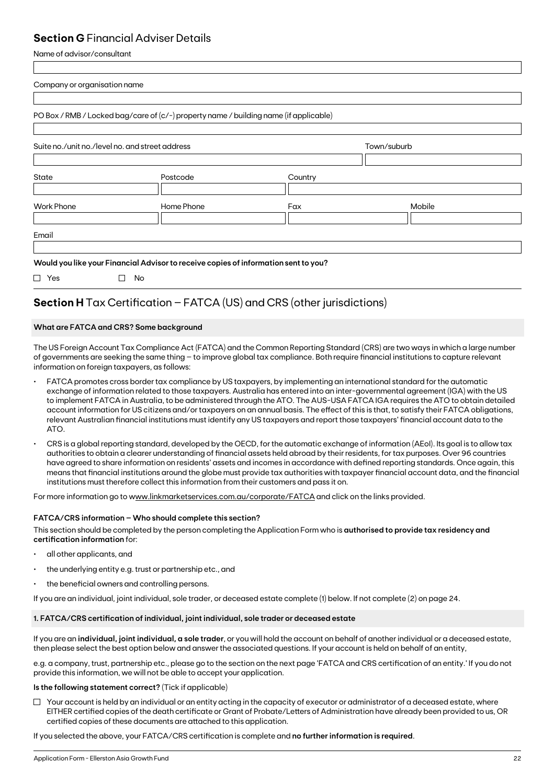# **Section G** Financial Adviser Details

Name of advisor/consultant

| Mobile |
|--------|
|        |
|        |

# **Section H** Tax Certification – FATCA (US) and CRS (other jurisdictions)

# **What are FATCA and CRS? Some background**

The US Foreign Account Tax Compliance Act (FATCA) and the Common Reporting Standard (CRS) are two ways in which a large number of governments are seeking the same thing – to improve global tax compliance. Both require financial institutions to capture relevant information on foreign taxpayers, as follows:

- FATCA promotes cross border tax compliance by US taxpayers, by implementing an international standard for the automatic exchange of information related to those taxpayers. Australia has entered into an inter-governmental agreement (IGA) with the US to implement FATCA in Australia, to be administered through the ATO. The AUS-USA FATCA IGA requires the ATO to obtain detailed account information for US citizens and/or taxpayers on an annual basis. The effect of this is that, to satisfy their FATCA obligations, relevant Australian financial institutions must identify any US taxpayers and report those taxpayers' financial account data to the ATO.
- CRS is a global reporting standard, developed by the OECD, for the automatic exchange of information (AEoI). Its goal is to allow tax authorities to obtain a clearer understanding of financial assets held abroad by their residents, for tax purposes. Over 96 countries have agreed to share information on residents' assets and incomes in accordance with defined reporting standards. Once again, this means that financial institutions around the globe must provide tax authorities with taxpayer financial account data, and the financial institutions must therefore collect this information from their customers and pass it on.

For more information go to www.linkmarketservices.com.au/corporate/FATCA and click on the links provided.

## **FATCA/CRS information – Who should complete this section?**

This section should be completed by the person completing the Application Form who is **authorised to provide tax residency and certification information** for:

- all other applicants, and
- the underlying entity e.g. trust or partnership etc., and
- the beneficial owners and controlling persons.

If you are an individual, joint individual, sole trader, or deceased estate complete (1) below. If not complete (2) on page 24.

# **1. FATCA/CRS certification of individual, joint individual, sole trader or deceased estate**

If you are an **individual, joint individual, a sole trader**, or you will hold the account on behalf of another individual or a deceased estate, then please select the best option below and answer the associated questions. If your account is held on behalf of an entity,

e.g. a company, trust, partnership etc., please go to the section on the next page 'FATCA and CRS certification of an entity.' If you do not provide this information, we will not be able to accept your application.

## **Is the following statement correct?** (Tick if applicable)

 $\Box$  Your account is held by an individual or an entity acting in the capacity of executor or administrator of a deceased estate, where EITHER certified copies of the death certificate or Grant of Probate/Letters of Administration have already been provided to us, OR certified copies of these documents are attached to this application.

If you selected the above, your FATCA/CRS certification is complete and **no further information is required**.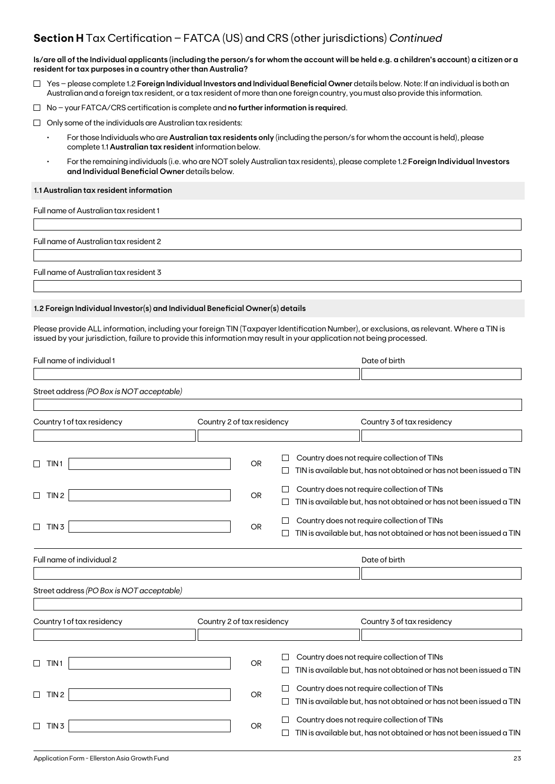# **Section H** Tax Certification – FATCA (US) and CRS (other jurisdictions) *Continued*

**Is/are all of the Individual applicants (including the person/s for whom the account will be held e.g. a children's account) a citizen or a resident for tax purposes in a country other than Australia?**

- Yes please complete 1.2 **Foreign Individual Investors and Individual Beneficial Owner** details below. Note: If an individual is both an Australian and a foreign tax resident, or a tax resident of more than one foreign country, you must also provide this information.
- No your FATCA/CRS certification is complete and **no further information is require**d.
- $\Box$  Only some of the individuals are Australian tax residents:
	- For those Individuals who are **Australian tax residents only** (including the person/s for whom the account is held), please complete 1.1 **Australian tax resident** information below.
	- For the remaining individuals (i.e. who are NOT solely Australian tax residents), please complete 1.2 **Foreign Individual Investors and Individual Beneficial Owner** details below.

#### **1.1 Australian tax resident information**

Full name of Australian tax resident 1

Full name of Australian tax resident 2

Full name of Australian tax resident 3

## **1.2 Foreign Individual Investor(s) and Individual Beneficial Owner(s) details**

Please provide ALL information, including your foreign TIN (Taxpayer Identification Number), or exclusions, as relevant. Where a TIN is issued by your jurisdiction, failure to provide this information may result in your application not being processed.

| Full name of individual 1                 |                            |        | Date of birth                                                       |
|-------------------------------------------|----------------------------|--------|---------------------------------------------------------------------|
|                                           |                            |        |                                                                     |
| Street address (PO Box is NOT acceptable) |                            |        |                                                                     |
|                                           |                            |        |                                                                     |
| Country 1 of tax residency                | Country 2 of tax residency |        | Country 3 of tax residency                                          |
|                                           |                            |        |                                                                     |
|                                           |                            |        | Country does not require collection of TINs                         |
| TIN <sub>1</sub>                          | <b>OR</b>                  |        | TIN is available but, has not obtained or has not been issued a TIN |
|                                           |                            |        | Country does not require collection of TINs                         |
| TIN <sub>2</sub><br>П                     | OR.                        |        | TIN is available but, has not obtained or has not been issued a TIN |
|                                           |                            |        | Country does not require collection of TINs                         |
| TIN <sub>3</sub><br>$\Box$                | OR.                        |        | TIN is available but, has not obtained or has not been issued a TIN |
| Full name of individual 2                 |                            |        | Date of birth                                                       |
|                                           |                            |        |                                                                     |
| Street address (PO Box is NOT acceptable) |                            |        |                                                                     |
|                                           |                            |        |                                                                     |
| Country 1 of tax residency                | Country 2 of tax residency |        | Country 3 of tax residency                                          |
|                                           |                            |        |                                                                     |
|                                           |                            |        | Country does not require collection of TINs                         |
| TIN <sub>1</sub>                          | <b>OR</b>                  |        | TIN is available but, has not obtained or has not been issued a TIN |
|                                           |                            | $\Box$ | Country does not require collection of TINs                         |
| TIN <sub>2</sub><br>П                     | <b>OR</b>                  |        | TIN is available but, has not obtained or has not been issued a TIN |
|                                           |                            |        | Country does not require collection of TINs                         |
| TIN <sub>3</sub>                          | OR                         |        | TIN is available but, has not obtained or has not been issued a TIN |
|                                           |                            |        |                                                                     |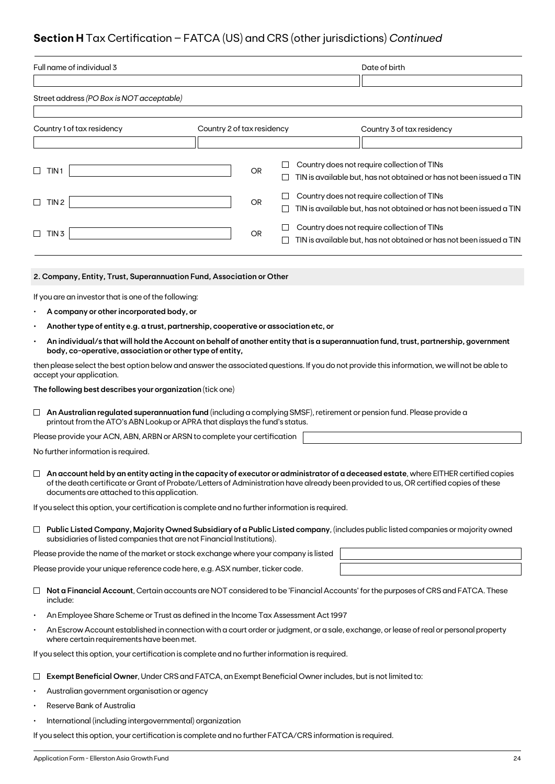# **Section H** Tax Certification – FATCA (US) and CRS (other jurisdictions) *Continued*

|           | Full name of individual 3                                                                                                                                                                             |                            |           |        |  | Date of birth                                                                                                                                |
|-----------|-------------------------------------------------------------------------------------------------------------------------------------------------------------------------------------------------------|----------------------------|-----------|--------|--|----------------------------------------------------------------------------------------------------------------------------------------------|
|           |                                                                                                                                                                                                       |                            |           |        |  |                                                                                                                                              |
|           | Street address (PO Box is NOT acceptable)                                                                                                                                                             |                            |           |        |  |                                                                                                                                              |
|           |                                                                                                                                                                                                       |                            |           |        |  |                                                                                                                                              |
|           | Country 1 of tax residency                                                                                                                                                                            | Country 2 of tax residency |           |        |  | Country 3 of tax residency                                                                                                                   |
|           |                                                                                                                                                                                                       |                            |           |        |  |                                                                                                                                              |
|           | TIN <sub>1</sub>                                                                                                                                                                                      |                            | OR        |        |  | Country does not require collection of TINs                                                                                                  |
|           |                                                                                                                                                                                                       |                            |           | $\Box$ |  | TIN is available but, has not obtained or has not been issued a TIN                                                                          |
| $\Box$    | TIN 2                                                                                                                                                                                                 |                            | OR        | $\Box$ |  | Country does not require collection of TINs                                                                                                  |
|           |                                                                                                                                                                                                       |                            |           | $\Box$ |  | TIN is available but, has not obtained or has not been issued a TIN                                                                          |
|           | TIN <sub>3</sub>                                                                                                                                                                                      |                            | <b>OR</b> | ⊔      |  | Country does not require collection of TINs                                                                                                  |
|           |                                                                                                                                                                                                       |                            |           |        |  | TIN is available but, has not obtained or has not been issued a TIN                                                                          |
|           |                                                                                                                                                                                                       |                            |           |        |  |                                                                                                                                              |
|           | 2. Company, Entity, Trust, Superannuation Fund, Association or Other                                                                                                                                  |                            |           |        |  |                                                                                                                                              |
|           | If you are an investor that is one of the following:                                                                                                                                                  |                            |           |        |  |                                                                                                                                              |
|           | A company or other incorporated body, or                                                                                                                                                              |                            |           |        |  |                                                                                                                                              |
|           | Another type of entity e.g. a trust, partnership, cooperative or association etc, or                                                                                                                  |                            |           |        |  |                                                                                                                                              |
|           | body, co-operative, association or other type of entity,                                                                                                                                              |                            |           |        |  | An individual/s that will hold the Account on behalf of another entity that is a superannuation fund, trust, partnership, government         |
|           | accept your application.                                                                                                                                                                              |                            |           |        |  | then please select the best option below and answer the associated questions. If you do not provide this information, we will not be able to |
|           | The following best describes your organization (tick one)                                                                                                                                             |                            |           |        |  |                                                                                                                                              |
| $\Box$    | An Australian regulated superannuation fund (including a complying SMSF), retirement or pension fund. Please provide a<br>printout from the ATO's ABN Lookup or APRA that displays the fund's status. |                            |           |        |  |                                                                                                                                              |
|           | Please provide your ACN, ABN, ARBN or ARSN to complete your certification                                                                                                                             |                            |           |        |  |                                                                                                                                              |
|           | No further information is required.                                                                                                                                                                   |                            |           |        |  |                                                                                                                                              |
|           |                                                                                                                                                                                                       |                            |           |        |  |                                                                                                                                              |
|           | of the death certificate or Grant of Probate/Letters of Administration have already been provided to us, OR certified copies of these<br>documents are attached to this application.                  |                            |           |        |  | An account held by an entity acting in the capacity of executor or administrator of a deceased estate, where EITHER certified copies         |
|           | If you select this option, your certification is complete and no further information is required.                                                                                                     |                            |           |        |  |                                                                                                                                              |
|           |                                                                                                                                                                                                       |                            |           |        |  | $\Box$ Public Listed Company, Majority Owned Subsidiary of a Public Listed company, (includes public listed companies or majority owned      |
|           | subsidiaries of listed companies that are not Financial Institutions).                                                                                                                                |                            |           |        |  |                                                                                                                                              |
|           | Please provide the name of the market or stock exchange where your company is listed                                                                                                                  |                            |           |        |  |                                                                                                                                              |
|           | Please provide your unique reference code here, e.g. ASX number, ticker code.                                                                                                                         |                            |           |        |  |                                                                                                                                              |
| $\Box$    | include:                                                                                                                                                                                              |                            |           |        |  | Not a Financial Account, Certain accounts are NOT considered to be 'Financial Accounts' for the purposes of CRS and FATCA. These             |
|           | An Employee Share Scheme or Trust as defined in the Income Tax Assessment Act 1997                                                                                                                    |                            |           |        |  |                                                                                                                                              |
| $\bullet$ | An Escrow Account established in connection with a court order or judgment, or a sale, exchange, or lease of real or personal property<br>where certain requirements have been met.                   |                            |           |        |  |                                                                                                                                              |
|           | If you select this option, your certification is complete and no further information is required.                                                                                                     |                            |           |        |  |                                                                                                                                              |
|           | Exempt Beneficial Owner, Under CRS and FATCA, an Exempt Beneficial Owner includes, but is not limited to:                                                                                             |                            |           |        |  |                                                                                                                                              |
|           |                                                                                                                                                                                                       |                            |           |        |  |                                                                                                                                              |

- Australian government organisation or agency
- Reserve Bank of Australia
- International (including intergovernmental) organization

If you select this option, your certification is complete and no further FATCA/CRS information is required.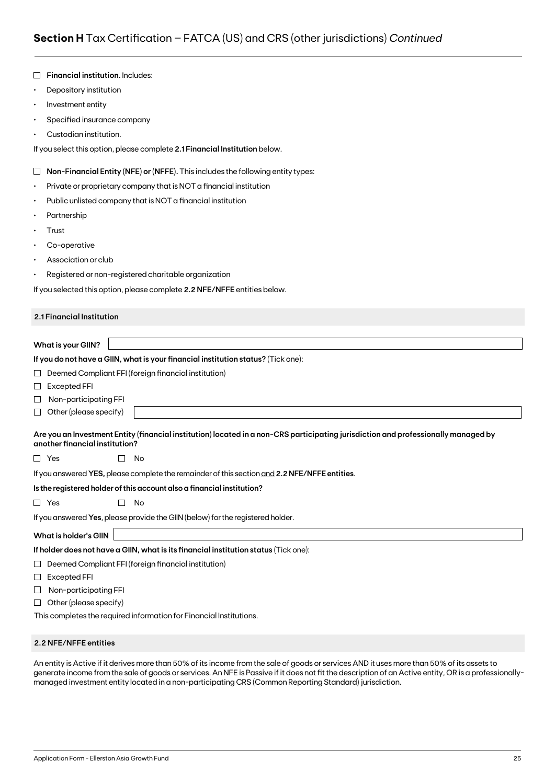|           | Financial institution. Includes:                                                                                                                                     |  |  |  |  |  |  |  |
|-----------|----------------------------------------------------------------------------------------------------------------------------------------------------------------------|--|--|--|--|--|--|--|
| $\bullet$ | Depository institution                                                                                                                                               |  |  |  |  |  |  |  |
| $\bullet$ | Investment entity                                                                                                                                                    |  |  |  |  |  |  |  |
| ٠         | Specified insurance company                                                                                                                                          |  |  |  |  |  |  |  |
|           | Custodian institution.                                                                                                                                               |  |  |  |  |  |  |  |
|           | If you select this option, please complete 2.1 Financial Institution below.                                                                                          |  |  |  |  |  |  |  |
| $\Box$    | Non-Financial Entity (NFE) or (NFFE). This includes the following entity types:                                                                                      |  |  |  |  |  |  |  |
| ٠         | Private or proprietary company that is NOT a financial institution                                                                                                   |  |  |  |  |  |  |  |
| ٠         | Public unlisted company that is NOT a financial institution                                                                                                          |  |  |  |  |  |  |  |
|           | Partnership                                                                                                                                                          |  |  |  |  |  |  |  |
| ٠         | Trust                                                                                                                                                                |  |  |  |  |  |  |  |
| ٠         | Co-operative                                                                                                                                                         |  |  |  |  |  |  |  |
|           | Association or club                                                                                                                                                  |  |  |  |  |  |  |  |
| ٠         | Registered or non-registered charitable organization                                                                                                                 |  |  |  |  |  |  |  |
|           | If you selected this option, please complete 2.2 NFE/NFFE entities below.                                                                                            |  |  |  |  |  |  |  |
|           | 2.1 Financial Institution                                                                                                                                            |  |  |  |  |  |  |  |
|           |                                                                                                                                                                      |  |  |  |  |  |  |  |
|           | <b>What is your GIIN?</b>                                                                                                                                            |  |  |  |  |  |  |  |
|           | If you do not have a GIIN, what is your financial institution status? (Tick one):                                                                                    |  |  |  |  |  |  |  |
| ப         | Deemed Compliant FFI (foreign financial institution)                                                                                                                 |  |  |  |  |  |  |  |
| $\sqcup$  | <b>Excepted FFI</b>                                                                                                                                                  |  |  |  |  |  |  |  |
| ⊔         | Non-participating FFI                                                                                                                                                |  |  |  |  |  |  |  |
| ⊔         | Other (please specify)                                                                                                                                               |  |  |  |  |  |  |  |
|           | Are you an Investment Entity (financial institution) located in a non-CRS participating jurisdiction and professionally managed by<br>another financial institution? |  |  |  |  |  |  |  |
|           | $\Box$ Yes<br>No                                                                                                                                                     |  |  |  |  |  |  |  |
|           | If you answered YES, please complete the remainder of this section and 2.2 NFE/NFFE entities.                                                                        |  |  |  |  |  |  |  |
|           | Is the registered holder of this account also a financial institution?                                                                                               |  |  |  |  |  |  |  |
|           | $\Box$ Yes<br>П<br>No                                                                                                                                                |  |  |  |  |  |  |  |
|           | If you answered Yes, please provide the GIIN (below) for the registered holder.                                                                                      |  |  |  |  |  |  |  |
|           | <b>What is holder's GIIN</b>                                                                                                                                         |  |  |  |  |  |  |  |
|           | If holder does not have a GIIN, what is its financial institution status (Tick one):                                                                                 |  |  |  |  |  |  |  |
| ⊔         | Deemed Compliant FFI (foreign financial institution)                                                                                                                 |  |  |  |  |  |  |  |
| ⊔         | Excepted FFI                                                                                                                                                         |  |  |  |  |  |  |  |
| ⊔         | Non-participating FFI                                                                                                                                                |  |  |  |  |  |  |  |
| ⊔         | Other (please specify)                                                                                                                                               |  |  |  |  |  |  |  |
|           | This completes the required information for Financial Institutions.                                                                                                  |  |  |  |  |  |  |  |

## **2.2 NFE/NFFE entities**

An entity is Active if it derives more than 50% of its income from the sale of goods or services AND it uses more than 50% of its assets to generate income from the sale of goods or services. An NFE is Passive if it does not fit the description of an Active entity, OR is a professionallymanaged investment entity located in a non-participating CRS (Common Reporting Standard) jurisdiction.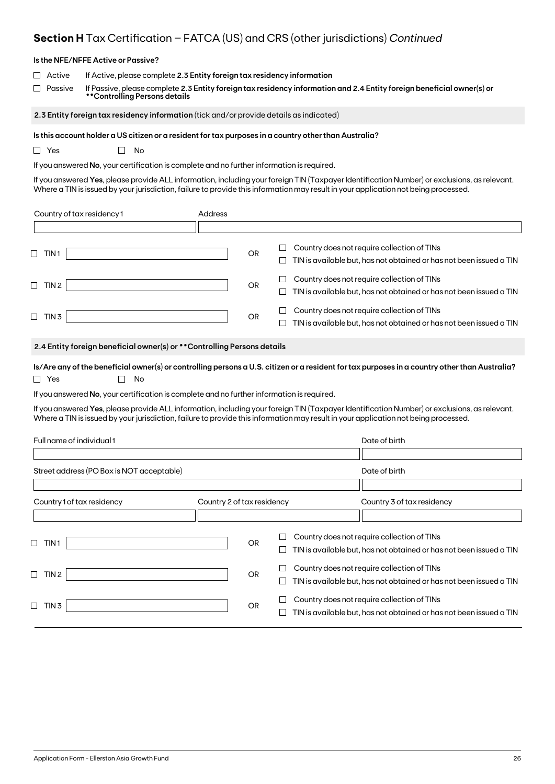# **Section H** Tax Certification – FATCA (US) and CRS (other jurisdictions) *Continued*

|                              | Is the NFE/NFFE Active or Passive?                                                                                                                                                                                                 |                            |           |             |                                                                                                                                                                                                                                                                                     |  |
|------------------------------|------------------------------------------------------------------------------------------------------------------------------------------------------------------------------------------------------------------------------------|----------------------------|-----------|-------------|-------------------------------------------------------------------------------------------------------------------------------------------------------------------------------------------------------------------------------------------------------------------------------------|--|
| Active<br>Passive            | If Active, please complete 2.3 Entity foreign tax residency information<br>If Passive, please complete 2.3 Entity foreign tax residency information and 2.4 Entity foreign beneficial owner(s) or<br>**Controlling Persons details |                            |           |             |                                                                                                                                                                                                                                                                                     |  |
|                              | 2.3 Entity foreign tax residency information (tick and/or provide details as indicated)                                                                                                                                            |                            |           |             |                                                                                                                                                                                                                                                                                     |  |
| $\Box$ Yes                   | Is this account holder a US citizen or a resident for tax purposes in a country other than Australia?<br>No<br>$\mathbf{L}$<br>If you answered No, your certification is complete and no further information is required.          |                            |           |             | If you answered Yes, please provide ALL information, including your foreign TIN (Taxpayer Identification Number) or exclusions, as relevant.<br>Where a TIN is issued by your jurisdiction, failure to provide this information may result in your application not being processed. |  |
| Country of tax residency 1   |                                                                                                                                                                                                                                    | Address                    |           |             |                                                                                                                                                                                                                                                                                     |  |
|                              |                                                                                                                                                                                                                                    |                            |           |             |                                                                                                                                                                                                                                                                                     |  |
| $\Box$ TIN1                  |                                                                                                                                                                                                                                    |                            | <b>OR</b> | $\Box$<br>⊔ | Country does not require collection of TINs<br>TIN is available but, has not obtained or has not been issued a TIN                                                                                                                                                                  |  |
| $\Box$ TIN 2                 |                                                                                                                                                                                                                                    |                            | OR        | ப<br>ப      | Country does not require collection of TINs<br>TIN is available but, has not obtained or has not been issued a TIN                                                                                                                                                                  |  |
| $\Box$ TIN 3                 |                                                                                                                                                                                                                                    |                            | OR        |             | Country does not require collection of TINs<br>TIN is available but, has not obtained or has not been issued a TIN                                                                                                                                                                  |  |
|                              | 2.4 Entity foreign beneficial owner(s) or ** Controlling Persons details                                                                                                                                                           |                            |           |             |                                                                                                                                                                                                                                                                                     |  |
| $\Box$ Yes                   | No                                                                                                                                                                                                                                 |                            |           |             | Is/Are any of the beneficial owner(s) or controlling persons a U.S. citizen or a resident for tax purposes in a country other than Australia?                                                                                                                                       |  |
|                              | If you answered No, your certification is complete and no further information is required.                                                                                                                                         |                            |           |             |                                                                                                                                                                                                                                                                                     |  |
|                              |                                                                                                                                                                                                                                    |                            |           |             | If you answered Yes, please provide ALL information, including your foreign TIN (Taxpayer Identification Number) or exclusions, as relevant.<br>Where a TIN is issued by your jurisdiction, failure to provide this information may result in your application not being processed. |  |
| Full name of individual 1    |                                                                                                                                                                                                                                    |                            |           |             | Date of birth                                                                                                                                                                                                                                                                       |  |
|                              | Street address (PO Box is NOT acceptable)                                                                                                                                                                                          |                            |           |             | Date of birth                                                                                                                                                                                                                                                                       |  |
|                              |                                                                                                                                                                                                                                    |                            |           |             |                                                                                                                                                                                                                                                                                     |  |
| Country 1 of tax residency   |                                                                                                                                                                                                                                    | Country 2 of tax residency |           |             | Country 3 of tax residency                                                                                                                                                                                                                                                          |  |
| $\sqcup$<br>TIN <sub>1</sub> |                                                                                                                                                                                                                                    |                            | <b>OR</b> | ப           | Country does not require collection of TINs<br>TIN is available but, has not obtained or has not been issued a TIN                                                                                                                                                                  |  |
| $\Box$ TIN 2                 |                                                                                                                                                                                                                                    |                            | <b>OR</b> | $\Box$<br>ப | Country does not require collection of TINs<br>TIN is available but, has not obtained or has not been issued a TIN                                                                                                                                                                  |  |
| $\Box$ TIN 3                 |                                                                                                                                                                                                                                    |                            | OR        | ப<br>$\Box$ | Country does not require collection of TINs<br>TIN is available but, has not obtained or has not been issued a TIN                                                                                                                                                                  |  |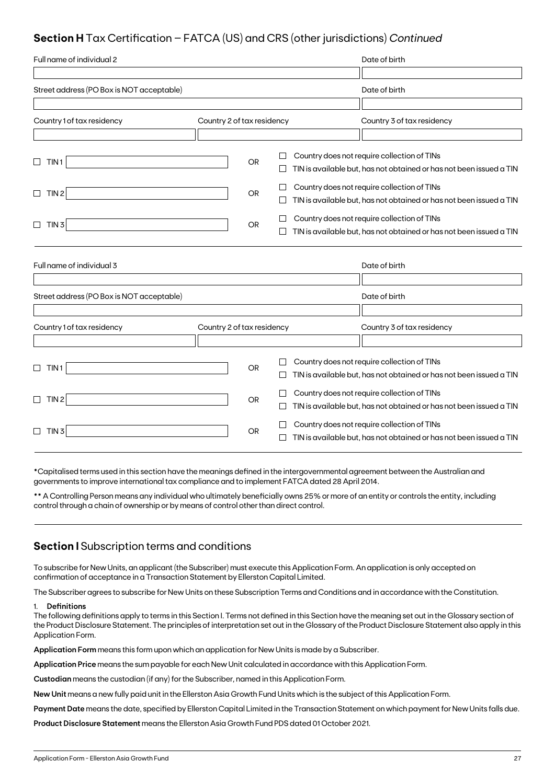# **Section H** Tax Certification – FATCA (US) and CRS (other jurisdictions) *Continued*

| Full name of individual 2                 |                            |           |              | Date of birth                                                       |
|-------------------------------------------|----------------------------|-----------|--------------|---------------------------------------------------------------------|
|                                           |                            |           |              |                                                                     |
| Street address (PO Box is NOT acceptable) |                            |           |              | Date of birth                                                       |
|                                           |                            |           |              |                                                                     |
| Country 1 of tax residency                | Country 2 of tax residency |           |              | Country 3 of tax residency                                          |
|                                           |                            |           |              |                                                                     |
| TIN <sub>1</sub><br>$\Box$                |                            | <b>OR</b> |              | Country does not require collection of TINs                         |
|                                           |                            |           |              | TIN is available but, has not obtained or has not been issued a TIN |
| TIN <sub>2</sub><br>$\Box$                |                            | <b>OR</b> |              | Country does not require collection of TINs                         |
|                                           |                            |           |              | TIN is available but, has not obtained or has not been issued a TIN |
| $\Box$<br>TIN <sub>3</sub>                |                            | <b>OR</b> |              | Country does not require collection of TINs                         |
|                                           |                            |           |              | TIN is available but, has not obtained or has not been issued a TIN |
|                                           |                            |           |              |                                                                     |
| Full name of individual 3                 |                            |           |              | Date of birth                                                       |
|                                           |                            |           |              |                                                                     |
| Street address (PO Box is NOT acceptable) |                            |           |              | Date of birth                                                       |
|                                           |                            |           |              |                                                                     |
| Country 1 of tax residency                | Country 2 of tax residency |           |              | Country 3 of tax residency                                          |
|                                           |                            |           |              |                                                                     |
|                                           |                            |           |              | Country does not require collection of TINs                         |
| TIN <sub>1</sub><br>$\Box$                |                            | OR        | $\Box$       | TIN is available but, has not obtained or has not been issued a TIN |
| TIN <sub>2</sub><br>$\Box$                |                            | <b>OR</b> |              | Country does not require collection of TINs                         |
|                                           |                            |           | $\mathbf{L}$ | TIN is available but, has not obtained or has not been issued a TIN |
| $\Box$<br>TIN 3                           |                            | <b>OR</b> |              | Country does not require collection of TINs                         |
|                                           |                            |           |              | TIN is available but, has not obtained or has not been issued a TIN |

\*Capitalised terms used in this section have the meanings defined in the intergovernmental agreement between the Australian and governments to improve international tax compliance and to implement FATCA dated 28 April 2014.

\*\* A Controlling Person means any individual who ultimately beneficially owns 25% or more of an entity or controls the entity, including control through a chain of ownership or by means of control other than direct control.

# **Section I** Subscription terms and conditions

To subscribe for New Units, an applicant (the Subscriber) must execute this Application Form. An application is only accepted on confirmation of acceptance in a Transaction Statement by Ellerston Capital Limited.

The Subscriber agrees to subscribe for New Units on these Subscription Terms and Conditions and in accordance with the Constitution.

## 1. **Definitions**

The following definitions apply to terms in this Section I. Terms not defined in this Section have the meaning set out in the Glossary section of the Product Disclosure Statement. The principles of interpretation set out in the Glossary of the Product Disclosure Statement also apply in this Application Form.

**Application Form** means this form upon which an application for New Units is made by a Subscriber.

**Application Price** means the sum payable for each New Unit calculated in accordance with this Application Form.

**Custodian** means the custodian (if any) for the Subscriber, named in this Application Form.

**New Unit** means a new fully paid unit in the Ellerston Asia Growth Fund Units which is the subject of this Application Form.

**Payment Date** means the date, specified by Ellerston Capital Limited in the Transaction Statement on which payment for New Units falls due.

**Product Disclosure Statement** means the Ellerston Asia Growth Fund PDS dated 01 October 2021.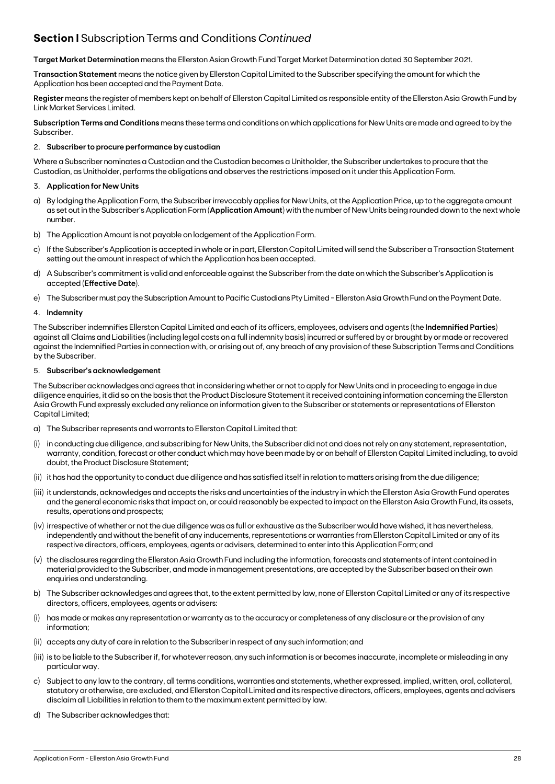# **Section I** Subscription Terms and Conditions *Continued*

**Target Market Determination** means the Ellerston Asian Growth Fund Target Market Determination dated 30 September 2021.

**Transaction Statement** means the notice given by Ellerston Capital Limited to the Subscriber specifying the amount for which the Application has been accepted and the Payment Date.

**Register** means the register of members kept on behalf of Ellerston Capital Limited as responsible entity of the Ellerston Asia Growth Fund by Link Market Services Limited.

**Subscription Terms and Conditions** means these terms and conditions on which applications for New Units are made and agreed to by the Subscriber.

### 2. **Subscriber to procure performance by custodian**

Where a Subscriber nominates a Custodian and the Custodian becomes a Unitholder, the Subscriber undertakes to procure that the Custodian, as Unitholder, performs the obligations and observes the restrictions imposed on it under this Application Form.

## 3. **Application for New Units**

- a) By lodging the Application Form, the Subscriber irrevocably applies for New Units, at the Application Price, up to the aggregate amount as set out in the Subscriber's Application Form (**Application Amount**) with the number of New Units being rounded down to the next whole number.
- b) The Application Amount is not payable on lodgement of the Application Form.
- c) If the Subscriber's Application is accepted in whole or in part, Ellerston Capital Limited will send the Subscriber a Transaction Statement setting out the amount in respect of which the Application has been accepted.
- d) A Subscriber's commitment is valid and enforceable against the Subscriber from the date on which the Subscriber's Application is accepted (**Effective Date**).
- e) The Subscriber must pay the Subscription Amount to Pacific Custodians Pty Limited Ellerston Asia Growth Fund on the Payment Date.

#### 4. **Indemnity**

The Subscriber indemnifies Ellerston Capital Limited and each of its officers, employees, advisers and agents (the **Indemnified Parties**) against all Claims and Liabilities (including legal costs on a full indemnity basis) incurred or suffered by or brought by or made or recovered against the Indemnified Parties in connection with, or arising out of, any breach of any provision of these Subscription Terms and Conditions by the Subscriber.

### 5. **Subscriber's acknowledgement**

The Subscriber acknowledges and agrees that in considering whether or not to apply for New Units and in proceeding to engage in due diligence enquiries, it did so on the basis that the Product Disclosure Statement it received containing information concerning the Ellerston Asia Growth Fund expressly excluded any reliance on information given to the Subscriber or statements or representations of Ellerston Capital Limited;

- a) The Subscriber represents and warrants to Ellerston Capital Limited that:
- in conducting due diligence, and subscribing for New Units, the Subscriber did not and does not rely on any statement, representation, warranty, condition, forecast or other conduct which may have been made by or on behalf of Ellerston Capital Limited including, to avoid doubt, the Product Disclosure Statement;
- (ii) it has had the opportunity to conduct due diligence and has satisfied itself in relation to matters arising from the due diligence;
- (iii) it understands, acknowledges and accepts the risks and uncertainties of the industry in which the Ellerston Asia Growth Fund operates and the general economic risks that impact on, or could reasonably be expected to impact on the Ellerston Asia Growth Fund, its assets, results, operations and prospects;
- (iv) irrespective of whether or not the due diligence was as full or exhaustive as the Subscriber would have wished, it has nevertheless, independently and without the benefit of any inducements, representations or warranties from Ellerston Capital Limited or any of its respective directors, officers, employees, agents or advisers, determined to enter into this Application Form; and
- (v) the disclosures regarding the Ellerston Asia Growth Fund including the information, forecasts and statements of intent contained in material provided to the Subscriber, and made in management presentations, are accepted by the Subscriber based on their own enquiries and understanding.
- b) The Subscriber acknowledges and agrees that, to the extent permitted by law, none of Ellerston Capital Limited or any of its respective directors, officers, employees, agents or advisers:
- (i) has made or makes any representation or warranty as to the accuracy or completeness of any disclosure or the provision of any information;
- (ii) accepts any duty of care in relation to the Subscriber in respect of any such information; and
- (iii) is to be liable to the Subscriber if, for whatever reason, any such information is or becomes inaccurate, incomplete or misleading in any particular way.
- c) Subject to any law to the contrary, all terms conditions, warranties and statements, whether expressed, implied, written, oral, collateral, statutory or otherwise, are excluded, and Ellerston Capital Limited and its respective directors, officers, employees, agents and advisers disclaim all Liabilities in relation to them to the maximum extent permitted by law.
- d) The Subscriber acknowledges that: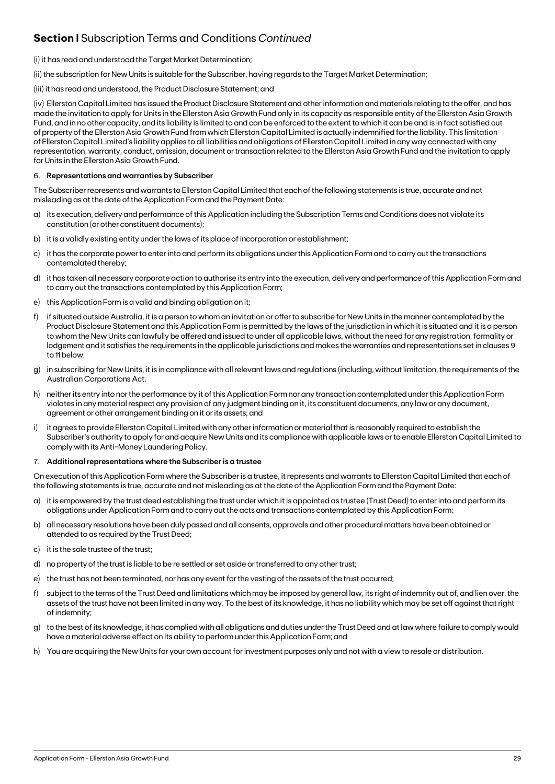# **Section I** Subscription Terms and Conditions *Continued*

## (i) it has read and understood the Target Market Determination;

(ii) the subscription for New Units is suitable for the Subscriber, having regards to the Target Market Determination;

(iii) it has read and understood, the Product Disclosure Statement; and

(iv) Ellerston Capital Limited has issued the Product Disclosure Statement and other information and materials relating to the offer, and has made the invitation to apply for Units in the Ellerston Asia Growth Fund only in its capacity as responsible entity of the Ellerston Asia Growth Fund, and in no other capacity, and its liability is limited to and can be enforced to the extent to which it can be and is in fact satisfied out of property of the Ellerston Asia Growth Fund from which Ellerston Capital Limited is actually indemnified for the liability. This limitation of Ellerston Capital Limited's liability applies to all liabilities and obligations of Ellerston Capital Limited in any way connected with any representation, warranty, conduct, omission, document or transaction related to the Ellerston Asia Growth Fund and the invitation to apply for Units in the Ellerston Asia Growth Fund.

## 6. **Representations and warranties by Subscriber**

The Subscriber represents and warrants to Ellerston Capital Limited that each of the following statements is true, accurate and not misleading as at the date of the Application Form and the Payment Date:

- a) its execution, delivery and performance of this Application including the Subscription Terms and Conditions does not violate its constitution (or other constituent documents);
- b) it is a validly existing entity under the laws of its place of incorporation or establishment;
- c) it has the corporate power to enter into and perform its obligations under this Application Form and to carry out the transactions contemplated thereby;
- d) it has taken all necessary corporate action to authorise its entry into the execution, delivery and performance of this Application Form and to carry out the transactions contemplated by this Application Form;
- e) this Application Form is a valid and binding obligation on it;
- f) if situated outside Australia, it is a person to whom an invitation or offer to subscribe for New Units in the manner contemplated by the Product Disclosure Statement and this Application Form is permitted by the laws of the jurisdiction in which it is situated and it is a person to whom the New Units can lawfully be offered and issued to under all applicable laws, without the need for any registration, formality or lodgement and it satisfies the requirements in the applicable jurisdictions and makes the warranties and representations set in clauses 9 to 11 below;
- g) in subscribing for New Units, it is in compliance with all relevant laws and regulations (including, without limitation, the requirements of the Australian Corporations Act.
- h) neither its entry into nor the performance by it of this Application Form nor any transaction contemplated under this Application Form violates in any material respect any provision of any judgment binding on it, its constituent documents, any law or any document, agreement or other arrangement binding on it or its assets; and
- i) it agrees to provide Ellerston Capital Limited with any other information or material that is reasonably required to establish the Subscriber's authority to apply for and acquire New Units and its compliance with applicable laws or to enable Ellerston Capital Limited to comply with its Anti-Money Laundering Policy.

#### 7. **Additional representations where the Subscriber is a trustee**

On execution of this Application Form where the Subscriber is a trustee, it represents and warrants to Ellerston Capital Limited that each of the following statements is true, accurate and not misleading as at the date of the Application Form and the Payment Date:

- a) it is empowered by the trust deed establishing the trust under which it is appointed as trustee (Trust Deed) to enter into and perform its obligations under Application Form and to carry out the acts and transactions contemplated by this Application Form;
- b) all necessary resolutions have been duly passed and all consents, approvals and other procedural matters have been obtained or attended to as required by the Trust Deed;
- c) it is the sole trustee of the trust;
- d) no property of the trust is liable to be re settled or set aside or transferred to any other trust;
- e) the trust has not been terminated, nor has any event for the vesting of the assets of the trust occurred;
- f) subject to the terms of the Trust Deed and limitations which may be imposed by general law, its right of indemnity out of, and lien over, the assets of the trust have not been limited in any way. To the best of its knowledge, it has no liability which may be set off against that right of indemnity;
- g) to the best of its knowledge, it has complied with all obligations and duties under the Trust Deed and at law where failure to comply would have a material adverse effect on its ability to perform under this Application Form; and
- h) You are acquiring the New Units for your own account for investment purposes only and not with a view to resale or distribution.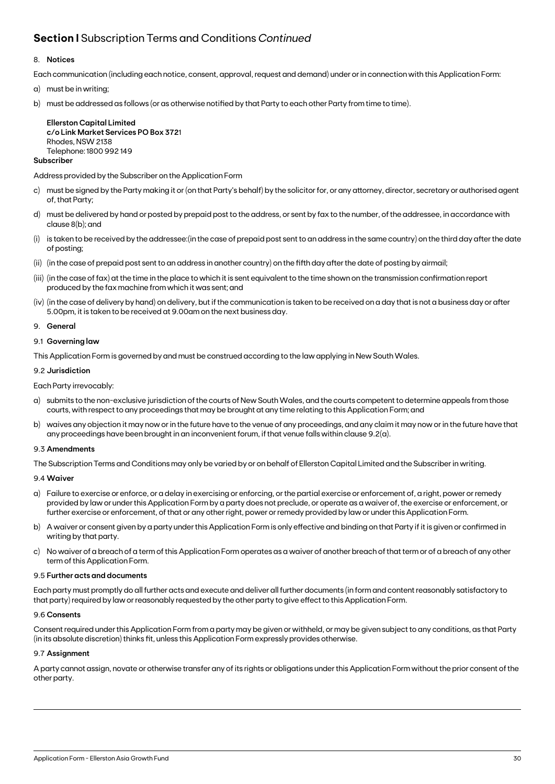# **Section I** Subscription Terms and Conditions *Continued*

## 8. **Notices**

Each communication (including each notice, consent, approval, request and demand) under or in connection with this Application Form:

- a) must be in writing;
- b) must be addressed as follows (or as otherwise notified by that Party to each other Party from time to time).

**Ellerston Capital Limited c/o Link Market Services PO Box 372**1 Rhodes, NSW 2138 Telephone: 1800 992 149

# **Subscriber**

Address provided by the Subscriber on the Application Form

- c) must be signed by the Party making it or (on that Party's behalf) by the solicitor for, or any attorney, director, secretary or authorised agent of, that Party;
- d) must be delivered by hand or posted by prepaid post to the address, or sent by fax to the number, of the addressee, in accordance with clause 8(b); and
- (i) is taken to be received by the addressee:(in the case of prepaid post sent to an address in the same country) on the third day after the date of posting;
- (ii) (in the case of prepaid post sent to an address in another country) on the fifth day after the date of posting by airmail;
- (iii) (in the case of fax) at the time in the place to which it is sent equivalent to the time shown on the transmission confirmation report produced by the fax machine from which it was sent; and
- (iv) (in the case of delivery by hand) on delivery, but if the communication is taken to be received on a day that is not a business day or after 5.00pm, it is taken to be received at 9.00am on the next business day.
- 9. **General**

### 9.1 **Governing law**

This Application Form is governed by and must be construed according to the law applying in New South Wales.

### 9.2 **Jurisdiction**

Each Party irrevocably:

- a) submits to the non-exclusive jurisdiction of the courts of New South Wales, and the courts competent to determine appeals from those courts, with respect to any proceedings that may be brought at any time relating to this Application Form; and
- b) waives any objection it may now or in the future have to the venue of any proceedings, and any claim it may now or in the future have that any proceedings have been brought in an inconvenient forum, if that venue falls within clause 9.2(a).

#### 9.3 **Amendments**

The Subscription Terms and Conditions may only be varied by or on behalf of Ellerston Capital Limited and the Subscriber in writing.

#### 9.4 **Waiver**

- a) Failure to exercise or enforce, or a delay in exercising or enforcing, or the partial exercise or enforcement of, a right, power or remedy provided by law or under this Application Form by a party does not preclude, or operate as a waiver of, the exercise or enforcement, or further exercise or enforcement, of that or any other right, power or remedy provided by law or under this Application Form.
- b) A waiver or consent given by a party under this Application Form is only effective and binding on that Party if it is given or confirmed in writing by that party.
- c) No waiver of a breach of a term of this Application Form operates as a waiver of another breach of that term or of a breach of any other term of this Application Form.

#### 9.5 **Further acts and documents**

Each party must promptly do all further acts and execute and deliver all further documents (in form and content reasonably satisfactory to that party) required by law or reasonably requested by the other party to give effect to this Application Form.

#### 9.6 **Consents**

Consent required under this Application Form from a party may be given or withheld, or may be given subject to any conditions, as that Party (in its absolute discretion) thinks fit, unless this Application Form expressly provides otherwise.

#### 9.7 **Assignment**

A party cannot assign, novate or otherwise transfer any of its rights or obligations under this Application Form without the prior consent of the other party.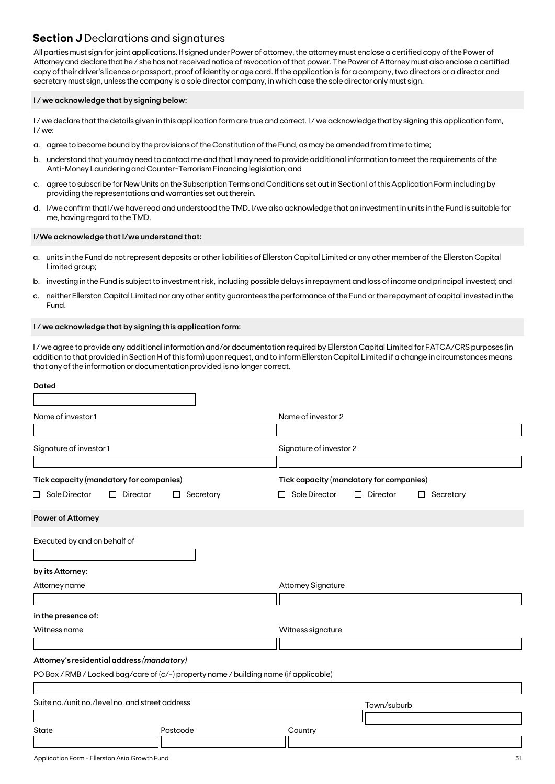# **Section J** Declarations and signatures

All parties must sign for joint applications. If signed under Power of attorney, the attorney must enclose a certified copy of the Power of Attorney and declare that he / she has not received notice of revocation of that power. The Power of Attorney must also enclose a certified copy of their driver's licence or passport, proof of identity or age card. If the application is for a company, two directors or a director and secretary must sign, unless the company is a sole director company, in which case the sole director only must sign.

## **I / we acknowledge that by signing below:**

I/we declare that the details given in this application form are true and correct. I/we acknowledge that by signing this application form, I / we:

- a. agree to become bound by the provisions of the Constitution of the Fund, as may be amended from time to time;
- b. understand that you may need to contact me and that I may need to provide additional information to meet the requirements of the Anti-Money Laundering and Counter-Terrorism Financing legislation; and
- c. agree to subscribe for New Units on the Subscription Terms and Conditions set out in Section I of this Application Form including by providing the representations and warranties set out therein.
- d. I/we confirm that I/we have read and understood the TMD. I/we also acknowledge that an investment in units in the Fund is suitable for me, having regard to the TMD.

### **I/We acknowledge that I/we understand that:**

- a. units in the Fund do not represent deposits or other liabilities of Ellerston Capital Limited or any other member of the Ellerston Capital Limited group;
- b. investing in the Fund is subject to investment risk, including possible delays in repayment and loss of income and principal invested; and
- c. neither Ellerston Capital Limited nor any other entity guarantees the performance of the Fund or the repayment of capital invested in the Fund.

### **I / we acknowledge that by signing this application form:**

I / we agree to provide any additional information and/or documentation required by Ellerston Capital Limited for FATCA/CRS purposes (in addition to that provided in Section H of this form) upon request, and to inform Ellerston Capital Limited if a change in circumstances means that any of the information or documentation provided is no longer correct.

| <b>Dated</b>                                                                          |                |                                         |                                            |
|---------------------------------------------------------------------------------------|----------------|-----------------------------------------|--------------------------------------------|
| Name of investor 1                                                                    |                | Name of investor 2                      |                                            |
|                                                                                       |                |                                         |                                            |
| Signature of investor 1                                                               |                | Signature of investor 2                 |                                            |
| Tick capacity (mandatory for companies)                                               |                | Tick capacity (mandatory for companies) |                                            |
| $\Box$ Sole Director<br>Director<br>$\Box$                                            | Secretary<br>⊔ | Sole Director                           | Director<br>Secretary<br>П<br>$\mathsf{L}$ |
| Power of Attorney                                                                     |                |                                         |                                            |
| Executed by and on behalf of                                                          |                |                                         |                                            |
| by its Attorney:                                                                      |                |                                         |                                            |
| Attorney name                                                                         |                | <b>Attorney Signature</b>               |                                            |
| in the presence of:                                                                   |                |                                         |                                            |
| Witness name                                                                          |                | Witness signature                       |                                            |
| Attorney's residential address (mandatory)                                            |                |                                         |                                            |
| PO Box / RMB / Locked bag/care of (c/-) property name / building name (if applicable) |                |                                         |                                            |
| Suite no./unit no./level no. and street address                                       |                |                                         | Town/suburb                                |
| State                                                                                 | Postcode       | Country                                 |                                            |
|                                                                                       |                |                                         |                                            |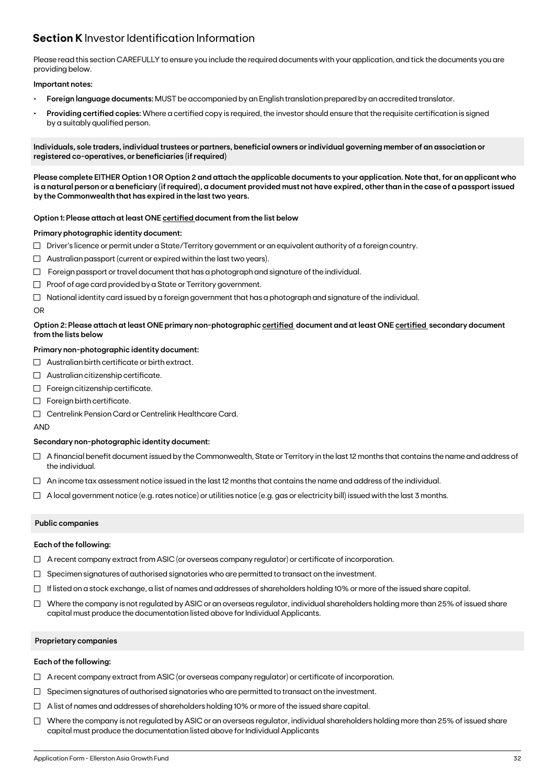# **Section K** Investor Identification Information

Please read this section CAREFULLY to ensure you include the required documents with your application, and tick the documents you are providing below.

## **Important notes:**

- **• Foreign language documents:** MUST be accompanied by an English translation prepared by an accredited translator.
- **Providing certified copies:** Where a certified copy is required, the investor should ensure that the requisite certification is signed by a suitably qualified person.

**Individuals, sole traders, individual trustees or partners, beneficial owners or individual governing member of an association or registered co-operatives, or beneficiaries (if required)**

**Please complete EITHER Option 1 OR Option 2 and attach the applicable documents to your application. Note that, for an applicant who is a natural person or a beneficiary (if required), a document provided must not have expired, other than in the case of a passport issued by the Commonwealth that has expired in the last two years.**

### **Option 1: Please attach at least ONE certified document from the list below**

#### **Primary photographic identity document:**

- $\Box$  Driver's licence or permit under a State/Territory government or an equivalent authority of a foreign country.
- $\Box$  Australian passport (current or expired within the last two years).
- $\Box$  Foreign passport or travel document that has a photograph and signature of the individual.
- $\Box$  Proof of age card provided by a State or Territory government.
- $\Box$  National identity card issued by a foreign government that has a photograph and signature of the individual.

#### OR

## **Option 2: Please attach at least ONE primary non-photographic certified document and at least ONE certified secondary document from the lists below**

## **Primary non-photographic identity document:**

- $\Box$  Australian birth certificate or birth extract.
- $\Box$  Australian citizenship certificate.
- $\Box$  Foreign citizenship certificate.
- Foreign birth certificate.
- Centrelink Pension Card or Centrelink Healthcare Card.

AND

## **Secondary non-photographic identity document:**

- $\Box$  A financial benefit document issued by the Commonwealth, State or Territory in the last 12 months that contains the name and address of the individual.
- $\Box$  An income tax assessment notice issued in the last 12 months that contains the name and address of the individual.
- $\Box$  A local government notice (e.g. rates notice) or utilities notice (e.g. gas or electricity bill) issued with the last 3 months.

## **Public companies**

#### **Each of the following:**

- $\Box$  A recent company extract from ASIC (or overseas company regulator) or certificate of incorporation.
- $\Box$  Specimen signatures of authorised signatories who are permitted to transact on the investment.
- $\Box$  If listed on a stock exchange, a list of names and addresses of shareholders holding 10% or more of the issued share capital.
- $\Box$  Where the company is not regulated by ASIC or an overseas regulator, individual shareholders holding more than 25% of issued share capital must produce the documentation listed above for Individual Applicants.

#### **Proprietary companies**

#### **Each of the following:**

- $\Box$  A recent company extract from ASIC (or overseas company regulator) or certificate of incorporation.
- $\Box$  Specimen signatures of authorised signatories who are permitted to transact on the investment.
- $\Box$  A list of names and addresses of shareholders holding 10% or more of the issued share capital.
- $\Box$  Where the company is not regulated by ASIC or an overseas regulator, individual shareholders holding more than 25% of issued share capital must produce the documentation listed above for Individual Applicants